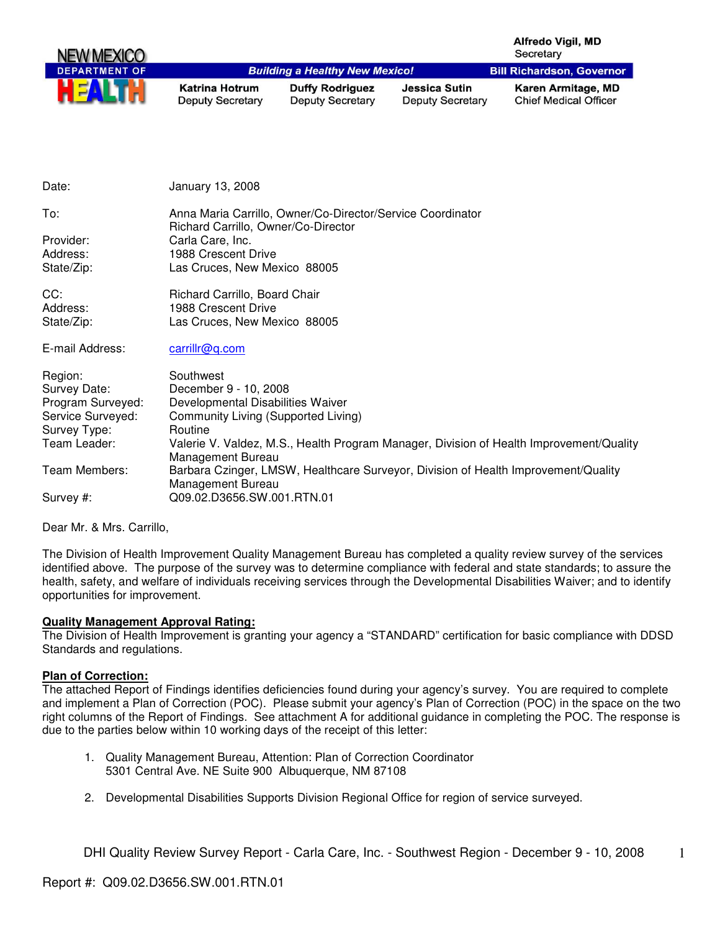| NEW MEXICO           |                                                  |                                                   |                                          | <b>Alfredo Vigil, MD</b><br>Secretary              |
|----------------------|--------------------------------------------------|---------------------------------------------------|------------------------------------------|----------------------------------------------------|
| <b>DEPARTMENT OF</b> |                                                  | <b>Building a Healthy New Mexico!</b>             |                                          | <b>Bill Richardson, Governor</b>                   |
| ш                    | <b>Katrina Hotrum</b><br><b>Deputy Secretary</b> | <b>Duffy Rodriguez</b><br><b>Deputy Secretary</b> | Jessica Sutin<br><b>Deputy Secretary</b> | Karen Armitage, MD<br><b>Chief Medical Officer</b> |

| Date:             | January 13, 2008                                                                                             |
|-------------------|--------------------------------------------------------------------------------------------------------------|
| To:               | Anna Maria Carrillo, Owner/Co-Director/Service Coordinator<br>Richard Carrillo, Owner/Co-Director            |
| Provider:         | Carla Care, Inc.                                                                                             |
| Address:          | 1988 Crescent Drive                                                                                          |
| State/Zip:        | Las Cruces, New Mexico 88005                                                                                 |
| CC:               | Richard Carrillo, Board Chair                                                                                |
| Address:          | 1988 Crescent Drive                                                                                          |
| State/Zip:        | Las Cruces, New Mexico 88005                                                                                 |
| E-mail Address:   | carrillr@q.com                                                                                               |
| Region:           | Southwest                                                                                                    |
| Survey Date:      | December 9 - 10, 2008                                                                                        |
| Program Surveyed: | Developmental Disabilities Waiver                                                                            |
| Service Surveyed: | Community Living (Supported Living)                                                                          |
| Survey Type:      | Routine                                                                                                      |
| Team Leader:      | Valerie V. Valdez, M.S., Health Program Manager, Division of Health Improvement/Quality<br>Management Bureau |
| Team Members:     | Barbara Czinger, LMSW, Healthcare Surveyor, Division of Health Improvement/Quality<br>Management Bureau      |
| Survey #:         | Q09.02.D3656.SW.001.RTN.01                                                                                   |
|                   |                                                                                                              |

Dear Mr. & Mrs. Carrillo,

The Division of Health Improvement Quality Management Bureau has completed a quality review survey of the services identified above. The purpose of the survey was to determine compliance with federal and state standards; to assure the health, safety, and welfare of individuals receiving services through the Developmental Disabilities Waiver; and to identify opportunities for improvement.

#### **Quality Management Approval Rating:**

The Division of Health Improvement is granting your agency a "STANDARD" certification for basic compliance with DDSD Standards and regulations.

#### **Plan of Correction:**

The attached Report of Findings identifies deficiencies found during your agency's survey. You are required to complete and implement a Plan of Correction (POC). Please submit your agency's Plan of Correction (POC) in the space on the two right columns of the Report of Findings. See attachment A for additional guidance in completing the POC. The response is due to the parties below within 10 working days of the receipt of this letter:

- 1. Quality Management Bureau, Attention: Plan of Correction Coordinator 5301 Central Ave. NE Suite 900 Albuquerque, NM 87108
- 2. Developmental Disabilities Supports Division Regional Office for region of service surveyed.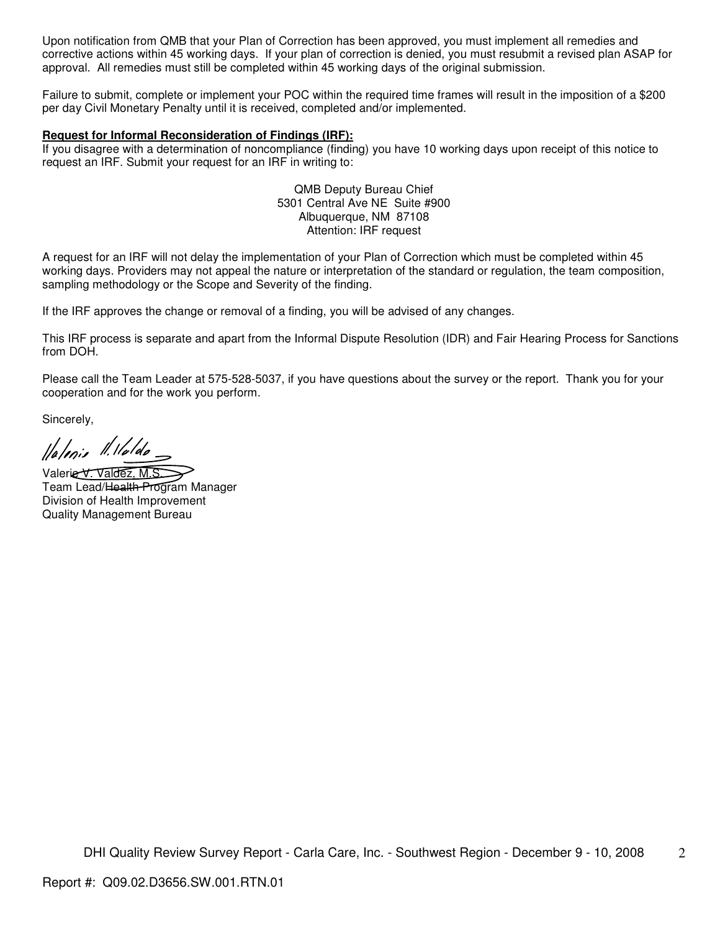Upon notification from QMB that your Plan of Correction has been approved, you must implement all remedies and corrective actions within 45 working days. If your plan of correction is denied, you must resubmit a revised plan ASAP for approval. All remedies must still be completed within 45 working days of the original submission.

Failure to submit, complete or implement your POC within the required time frames will result in the imposition of a \$200 per day Civil Monetary Penalty until it is received, completed and/or implemented.

#### **Request for Informal Reconsideration of Findings (IRF):**

If you disagree with a determination of noncompliance (finding) you have 10 working days upon receipt of this notice to request an IRF. Submit your request for an IRF in writing to:

> QMB Deputy Bureau Chief 5301 Central Ave NE Suite #900 Albuquerque, NM 87108 Attention: IRF request

A request for an IRF will not delay the implementation of your Plan of Correction which must be completed within 45 working days. Providers may not appeal the nature or interpretation of the standard or regulation, the team composition, sampling methodology or the Scope and Severity of the finding.

If the IRF approves the change or removal of a finding, you will be advised of any changes.

This IRF process is separate and apart from the Informal Dispute Resolution (IDR) and Fair Hearing Process for Sanctions from DOH.

Please call the Team Leader at 575-528-5037, if you have questions about the survey or the report. Thank you for your cooperation and for the work you perform.

Sincerely,

llalenie II. Haldo

Valerie V. Valdez, M.S. Team Lead/Health Program Manager

Division of Health Improvement Quality Management Bureau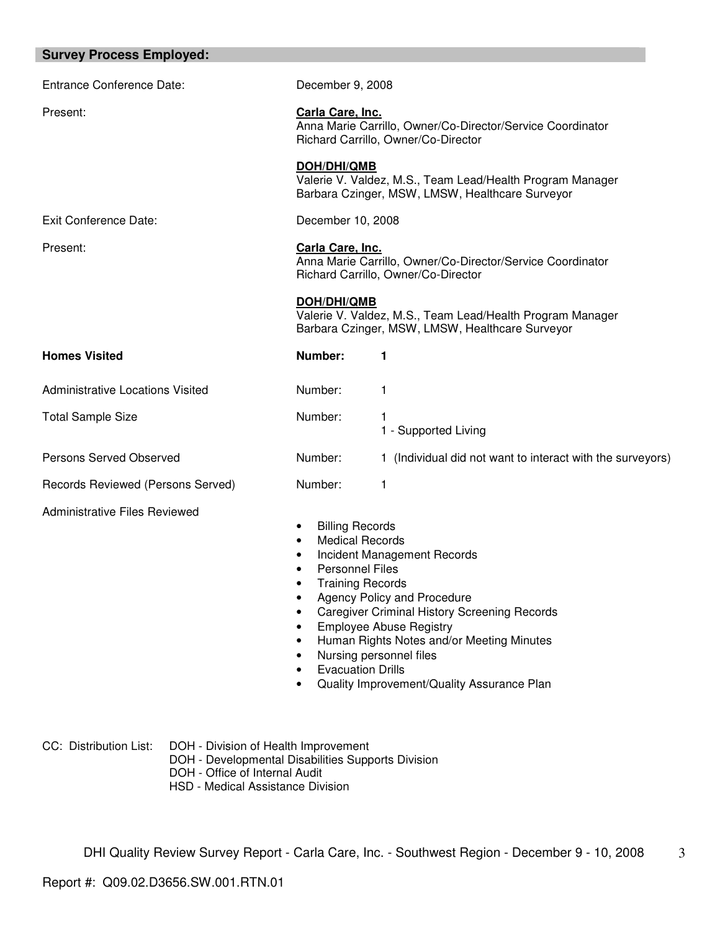| <b>Survey Process Employed:</b>         |                                                                                                                                                                            |                                                                                                                                                                                                                                                                           |
|-----------------------------------------|----------------------------------------------------------------------------------------------------------------------------------------------------------------------------|---------------------------------------------------------------------------------------------------------------------------------------------------------------------------------------------------------------------------------------------------------------------------|
| <b>Entrance Conference Date:</b>        | December 9, 2008                                                                                                                                                           |                                                                                                                                                                                                                                                                           |
| Present:                                | Carla Care, Inc.<br>Anna Marie Carrillo, Owner/Co-Director/Service Coordinator<br>Richard Carrillo, Owner/Co-Director                                                      |                                                                                                                                                                                                                                                                           |
|                                         | DOH/DHI/QMB                                                                                                                                                                | Valerie V. Valdez, M.S., Team Lead/Health Program Manager<br>Barbara Czinger, MSW, LMSW, Healthcare Surveyor                                                                                                                                                              |
| <b>Exit Conference Date:</b>            | December 10, 2008                                                                                                                                                          |                                                                                                                                                                                                                                                                           |
| Present:                                | Carla Care, Inc.<br>Anna Marie Carrillo, Owner/Co-Director/Service Coordinator<br>Richard Carrillo, Owner/Co-Director                                                      |                                                                                                                                                                                                                                                                           |
|                                         | DOH/DHI/QMB                                                                                                                                                                | Valerie V. Valdez, M.S., Team Lead/Health Program Manager<br>Barbara Czinger, MSW, LMSW, Healthcare Surveyor                                                                                                                                                              |
| <b>Homes Visited</b>                    | Number:                                                                                                                                                                    | 1                                                                                                                                                                                                                                                                         |
| <b>Administrative Locations Visited</b> | Number:                                                                                                                                                                    | 1                                                                                                                                                                                                                                                                         |
| <b>Total Sample Size</b>                | Number:                                                                                                                                                                    | 1<br>1 - Supported Living                                                                                                                                                                                                                                                 |
| Persons Served Observed                 | Number:                                                                                                                                                                    | 1 (Individual did not want to interact with the surveyors)                                                                                                                                                                                                                |
| Records Reviewed (Persons Served)       | Number:                                                                                                                                                                    | 1                                                                                                                                                                                                                                                                         |
| <b>Administrative Files Reviewed</b>    | <b>Billing Records</b><br>٠<br><b>Medical Records</b><br>$\bullet$<br>٠<br><b>Personnel Files</b><br>$\bullet$<br><b>Training Records</b><br><b>Evacuation Drills</b><br>٠ | Incident Management Records<br>Agency Policy and Procedure<br><b>Caregiver Criminal History Screening Records</b><br><b>Employee Abuse Registry</b><br>Human Rights Notes and/or Meeting Minutes<br>Nursing personnel files<br>Quality Improvement/Quality Assurance Plan |

CC: Distribution List: DOH - Division of Health Improvement DOH - Developmental Disabilities Supports Division DOH - Office of Internal Audit HSD - Medical Assistance Division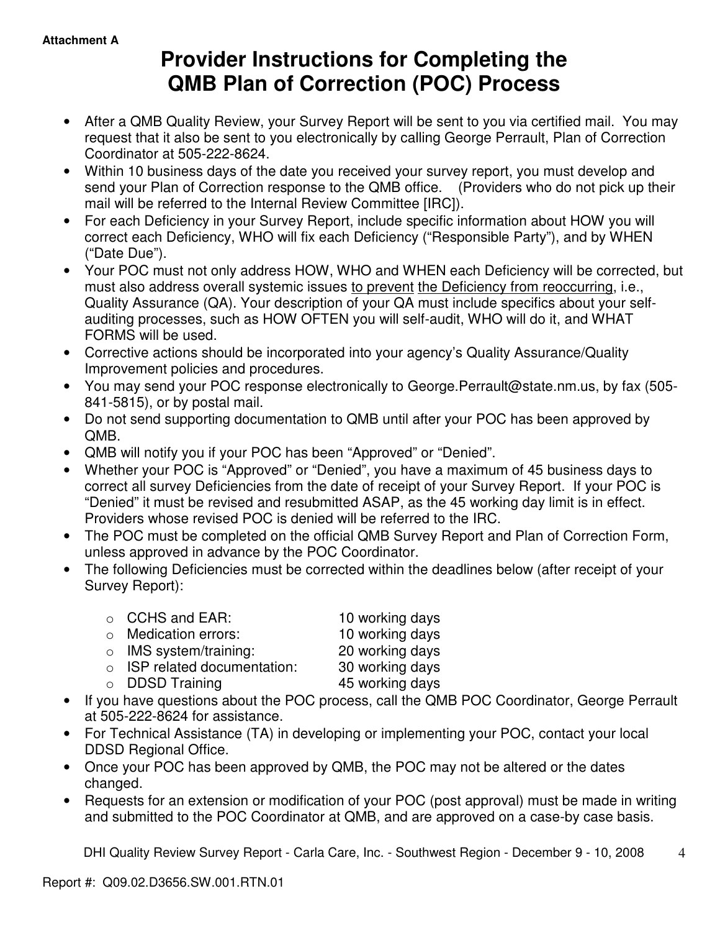# **Provider Instructions for Completing the QMB Plan of Correction (POC) Process**

- After a QMB Quality Review, your Survey Report will be sent to you via certified mail. You may request that it also be sent to you electronically by calling George Perrault, Plan of Correction Coordinator at 505-222-8624.
- Within 10 business days of the date you received your survey report, you must develop and send your Plan of Correction response to the QMB office. (Providers who do not pick up their mail will be referred to the Internal Review Committee [IRC]).
- For each Deficiency in your Survey Report, include specific information about HOW you will correct each Deficiency, WHO will fix each Deficiency ("Responsible Party"), and by WHEN ("Date Due").
- Your POC must not only address HOW, WHO and WHEN each Deficiency will be corrected, but must also address overall systemic issues to prevent the Deficiency from reoccurring, i.e., Quality Assurance (QA). Your description of your QA must include specifics about your selfauditing processes, such as HOW OFTEN you will self-audit, WHO will do it, and WHAT FORMS will be used.
- Corrective actions should be incorporated into your agency's Quality Assurance/Quality Improvement policies and procedures.
- You may send your POC response electronically to George.Perrault@state.nm.us, by fax (505- 841-5815), or by postal mail.
- Do not send supporting documentation to QMB until after your POC has been approved by QMB.
- QMB will notify you if your POC has been "Approved" or "Denied".
- Whether your POC is "Approved" or "Denied", you have a maximum of 45 business days to correct all survey Deficiencies from the date of receipt of your Survey Report. If your POC is "Denied" it must be revised and resubmitted ASAP, as the 45 working day limit is in effect. Providers whose revised POC is denied will be referred to the IRC.
- The POC must be completed on the official QMB Survey Report and Plan of Correction Form, unless approved in advance by the POC Coordinator.
- The following Deficiencies must be corrected within the deadlines below (after receipt of your Survey Report):

| ○ CCHS and EAR:                    | 10 working days |
|------------------------------------|-----------------|
| $\circ$ Medication errors:         | 10 working days |
| $\circ$ IMS system/training:       | 20 working days |
| $\circ$ ISP related documentation: | 30 working days |
| $\circ$ DDSD Training              | 45 working days |
|                                    |                 |

- If you have questions about the POC process, call the QMB POC Coordinator, George Perrault at 505-222-8624 for assistance.
- For Technical Assistance (TA) in developing or implementing your POC, contact your local DDSD Regional Office.
- Once your POC has been approved by QMB, the POC may not be altered or the dates changed.
- Requests for an extension or modification of your POC (post approval) must be made in writing and submitted to the POC Coordinator at QMB, and are approved on a case-by case basis.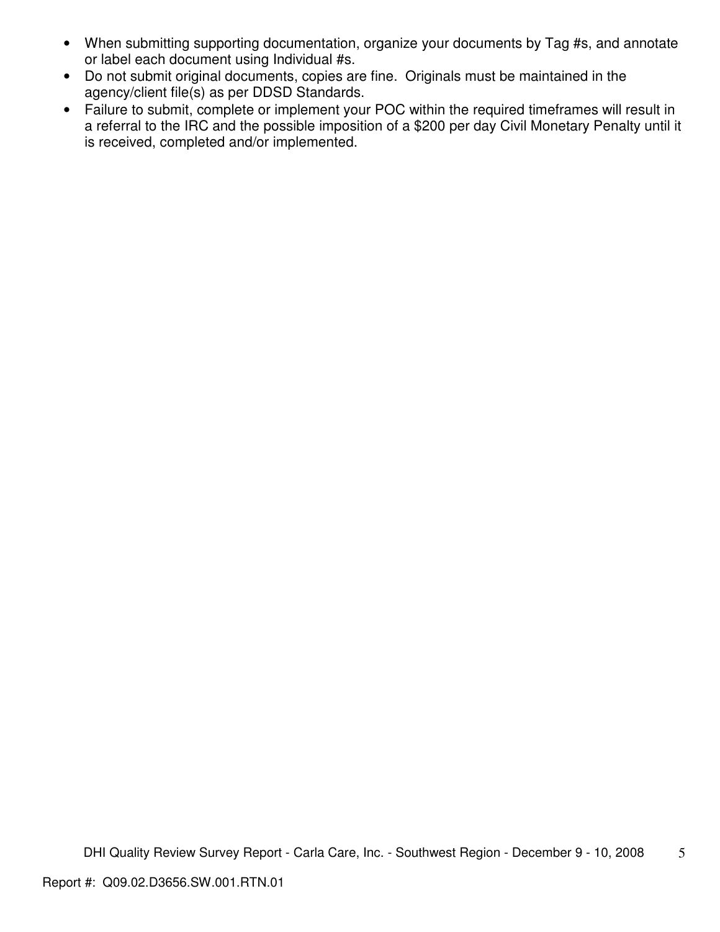- When submitting supporting documentation, organize your documents by Tag #s, and annotate or label each document using Individual #s.
- Do not submit original documents, copies are fine. Originals must be maintained in the agency/client file(s) as per DDSD Standards.
- Failure to submit, complete or implement your POC within the required timeframes will result in a referral to the IRC and the possible imposition of a \$200 per day Civil Monetary Penalty until it is received, completed and/or implemented.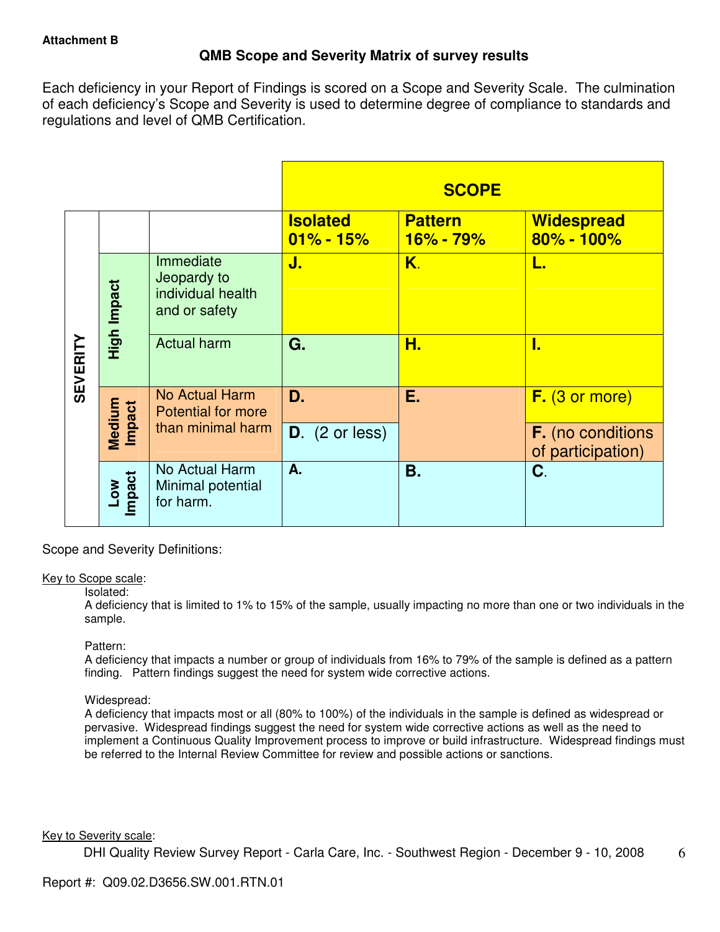# **QMB Scope and Severity Matrix of survey results**

Each deficiency in your Report of Findings is scored on a Scope and Severity Scale. The culmination of each deficiency's Scope and Severity is used to determine degree of compliance to standards and regulations and level of QMB Certification.

|                 |                  |                                                                |                                  | <b>SCOPE</b>                |                                               |
|-----------------|------------------|----------------------------------------------------------------|----------------------------------|-----------------------------|-----------------------------------------------|
|                 |                  |                                                                | <b>Isolated</b><br>$01\% - 15\%$ | <b>Pattern</b><br>16% - 79% | <b>Widespread</b><br>80% - 100%               |
|                 | High Impact      | Immediate<br>Jeopardy to<br>individual health<br>and or safety | J.                               | K.                          | L.                                            |
| <b>SEVERITY</b> |                  | <b>Actual harm</b>                                             | G.                               | Н.                          | I.                                            |
|                 |                  | No Actual Harm<br><b>Potential for more</b>                    | D.                               | Е.                          | $F.$ (3 or more)                              |
|                 | Medium<br>Impact | than minimal harm                                              | $D.$ (2 or less)                 |                             | <b>F.</b> (no conditions<br>of participation) |
|                 | Low<br>Impact    | No Actual Harm<br>Minimal potential<br>for harm.               | A.                               | Β.                          | C.                                            |

Scope and Severity Definitions:

#### Key to Scope scale:

#### Isolated:

A deficiency that is limited to 1% to 15% of the sample, usually impacting no more than one or two individuals in the sample.

#### Pattern:

A deficiency that impacts a number or group of individuals from 16% to 79% of the sample is defined as a pattern finding. Pattern findings suggest the need for system wide corrective actions.

# Widespread:

A deficiency that impacts most or all (80% to 100%) of the individuals in the sample is defined as widespread or pervasive. Widespread findings suggest the need for system wide corrective actions as well as the need to implement a Continuous Quality Improvement process to improve or build infrastructure. Widespread findings must be referred to the Internal Review Committee for review and possible actions or sanctions.

#### Key to Severity scale: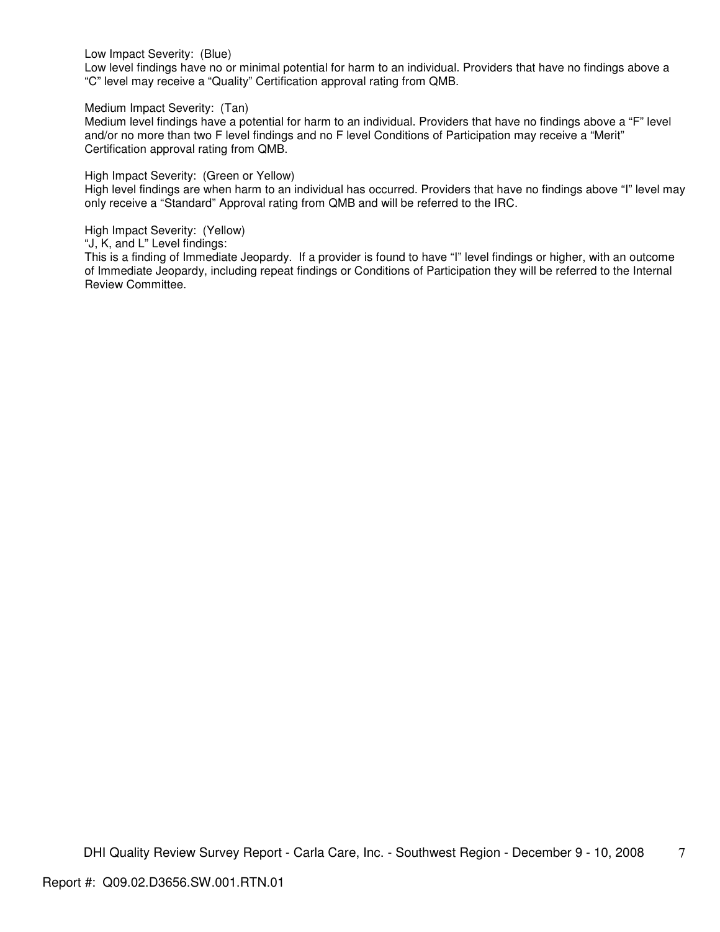Low Impact Severity: (Blue)

Low level findings have no or minimal potential for harm to an individual. Providers that have no findings above a "C" level may receive a "Quality" Certification approval rating from QMB.

Medium Impact Severity: (Tan)

Medium level findings have a potential for harm to an individual. Providers that have no findings above a "F" level and/or no more than two F level findings and no F level Conditions of Participation may receive a "Merit" Certification approval rating from QMB.

High Impact Severity: (Green or Yellow)

High level findings are when harm to an individual has occurred. Providers that have no findings above "I" level may only receive a "Standard" Approval rating from QMB and will be referred to the IRC.

High Impact Severity: (Yellow)

"J, K, and L" Level findings:

This is a finding of Immediate Jeopardy. If a provider is found to have "I" level findings or higher, with an outcome of Immediate Jeopardy, including repeat findings or Conditions of Participation they will be referred to the Internal Review Committee.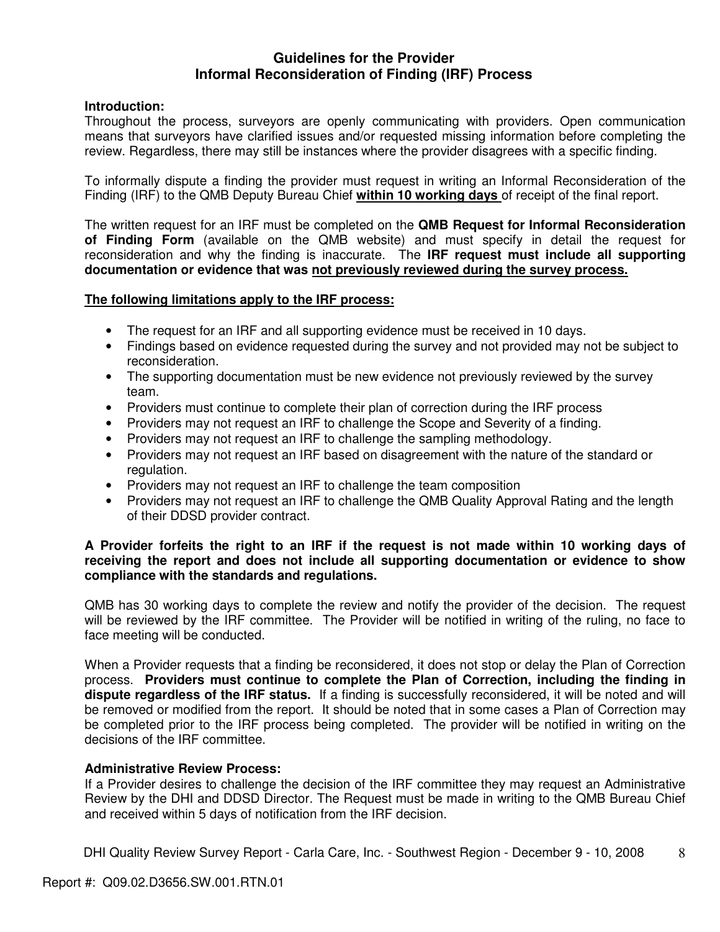# **Guidelines for the Provider Informal Reconsideration of Finding (IRF) Process**

# **Introduction:**

Throughout the process, surveyors are openly communicating with providers. Open communication means that surveyors have clarified issues and/or requested missing information before completing the review. Regardless, there may still be instances where the provider disagrees with a specific finding.

To informally dispute a finding the provider must request in writing an Informal Reconsideration of the Finding (IRF) to the QMB Deputy Bureau Chief **within 10 working days** of receipt of the final report.

The written request for an IRF must be completed on the **QMB Request for Informal Reconsideration of Finding Form** (available on the QMB website) and must specify in detail the request for reconsideration and why the finding is inaccurate. The **IRF request must include all supporting documentation or evidence that was not previously reviewed during the survey process.** 

## **The following limitations apply to the IRF process:**

- The request for an IRF and all supporting evidence must be received in 10 days.
- Findings based on evidence requested during the survey and not provided may not be subject to reconsideration.
- The supporting documentation must be new evidence not previously reviewed by the survey team.
- Providers must continue to complete their plan of correction during the IRF process
- Providers may not request an IRF to challenge the Scope and Severity of a finding.
- Providers may not request an IRF to challenge the sampling methodology.
- Providers may not request an IRF based on disagreement with the nature of the standard or regulation.
- Providers may not request an IRF to challenge the team composition
- Providers may not request an IRF to challenge the QMB Quality Approval Rating and the length of their DDSD provider contract.

## **A Provider forfeits the right to an IRF if the request is not made within 10 working days of receiving the report and does not include all supporting documentation or evidence to show compliance with the standards and regulations.**

QMB has 30 working days to complete the review and notify the provider of the decision. The request will be reviewed by the IRF committee. The Provider will be notified in writing of the ruling, no face to face meeting will be conducted.

When a Provider requests that a finding be reconsidered, it does not stop or delay the Plan of Correction process. **Providers must continue to complete the Plan of Correction, including the finding in dispute regardless of the IRF status.** If a finding is successfully reconsidered, it will be noted and will be removed or modified from the report. It should be noted that in some cases a Plan of Correction may be completed prior to the IRF process being completed. The provider will be notified in writing on the decisions of the IRF committee.

#### **Administrative Review Process:**

If a Provider desires to challenge the decision of the IRF committee they may request an Administrative Review by the DHI and DDSD Director. The Request must be made in writing to the QMB Bureau Chief and received within 5 days of notification from the IRF decision.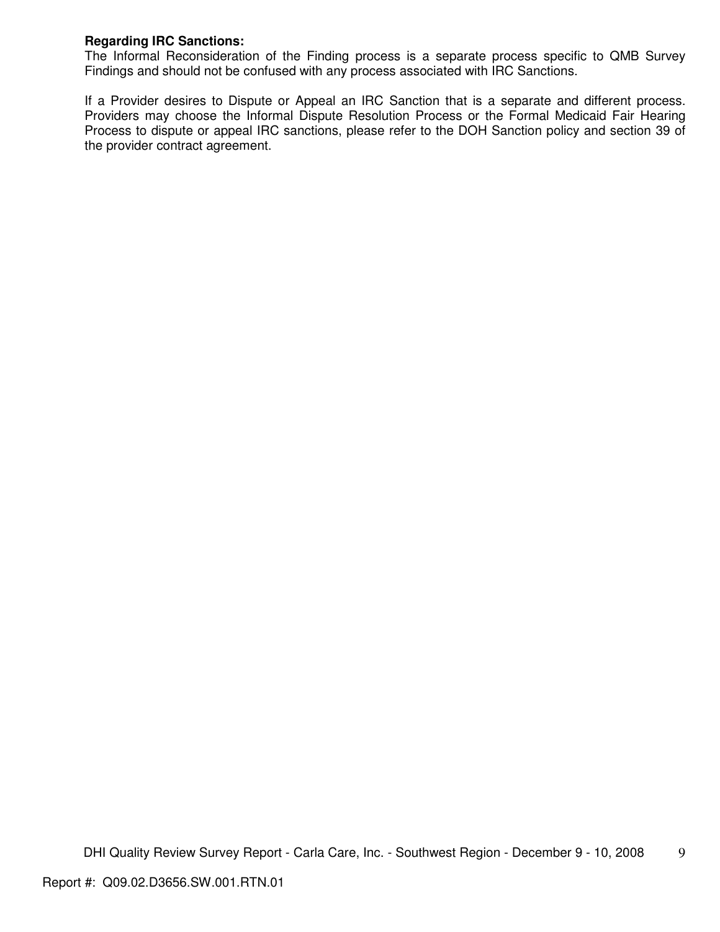# **Regarding IRC Sanctions:**

The Informal Reconsideration of the Finding process is a separate process specific to QMB Survey Findings and should not be confused with any process associated with IRC Sanctions.

If a Provider desires to Dispute or Appeal an IRC Sanction that is a separate and different process. Providers may choose the Informal Dispute Resolution Process or the Formal Medicaid Fair Hearing Process to dispute or appeal IRC sanctions, please refer to the DOH Sanction policy and section 39 of the provider contract agreement.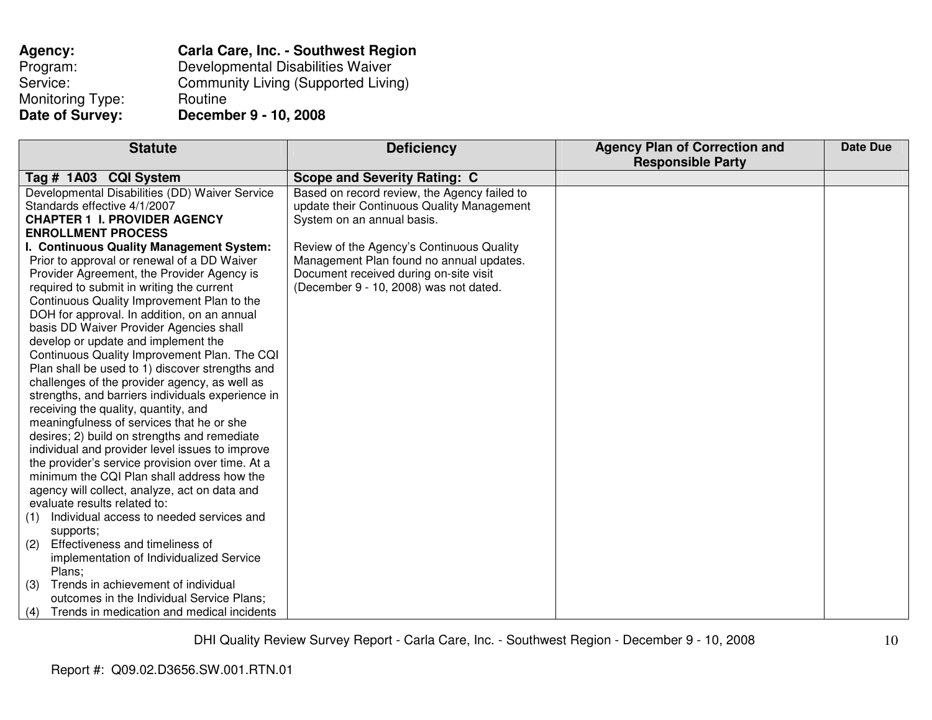| Agency:          | <b>Carla Care, Inc. - Southwest Region</b> |
|------------------|--------------------------------------------|
| Program:         | Developmental Disabilities Waiver          |
| Service:         | <b>Community Living (Supported Living)</b> |
| Monitoring Type: | Routine                                    |
| Date of Survey:  | December 9 - 10, 2008                      |

| <b>Statute</b>                                    | <b>Deficiency</b>                            | <b>Agency Plan of Correction and</b> | <b>Date Due</b> |
|---------------------------------------------------|----------------------------------------------|--------------------------------------|-----------------|
|                                                   |                                              | <b>Responsible Party</b>             |                 |
| Tag # 1A03 CQI System                             | <b>Scope and Severity Rating: C</b>          |                                      |                 |
| Developmental Disabilities (DD) Waiver Service    | Based on record review, the Agency failed to |                                      |                 |
| Standards effective 4/1/2007                      | update their Continuous Quality Management   |                                      |                 |
| <b>CHAPTER 1 I. PROVIDER AGENCY</b>               | System on an annual basis.                   |                                      |                 |
| <b>ENROLLMENT PROCESS</b>                         |                                              |                                      |                 |
| I. Continuous Quality Management System:          | Review of the Agency's Continuous Quality    |                                      |                 |
| Prior to approval or renewal of a DD Waiver       | Management Plan found no annual updates.     |                                      |                 |
| Provider Agreement, the Provider Agency is        | Document received during on-site visit       |                                      |                 |
| required to submit in writing the current         | (December 9 - 10, 2008) was not dated.       |                                      |                 |
| Continuous Quality Improvement Plan to the        |                                              |                                      |                 |
| DOH for approval. In addition, on an annual       |                                              |                                      |                 |
| basis DD Waiver Provider Agencies shall           |                                              |                                      |                 |
| develop or update and implement the               |                                              |                                      |                 |
| Continuous Quality Improvement Plan. The CQI      |                                              |                                      |                 |
| Plan shall be used to 1) discover strengths and   |                                              |                                      |                 |
| challenges of the provider agency, as well as     |                                              |                                      |                 |
| strengths, and barriers individuals experience in |                                              |                                      |                 |
| receiving the quality, quantity, and              |                                              |                                      |                 |
| meaningfulness of services that he or she         |                                              |                                      |                 |
| desires; 2) build on strengths and remediate      |                                              |                                      |                 |
| individual and provider level issues to improve   |                                              |                                      |                 |
| the provider's service provision over time. At a  |                                              |                                      |                 |
| minimum the CQI Plan shall address how the        |                                              |                                      |                 |
| agency will collect, analyze, act on data and     |                                              |                                      |                 |
| evaluate results related to:                      |                                              |                                      |                 |
| Individual access to needed services and<br>(1)   |                                              |                                      |                 |
| supports;                                         |                                              |                                      |                 |
| Effectiveness and timeliness of<br>(2)            |                                              |                                      |                 |
| implementation of Individualized Service          |                                              |                                      |                 |
| Plans;                                            |                                              |                                      |                 |
| Trends in achievement of individual<br>(3)        |                                              |                                      |                 |
| outcomes in the Individual Service Plans;         |                                              |                                      |                 |
| Trends in medication and medical incidents<br>(4) |                                              |                                      |                 |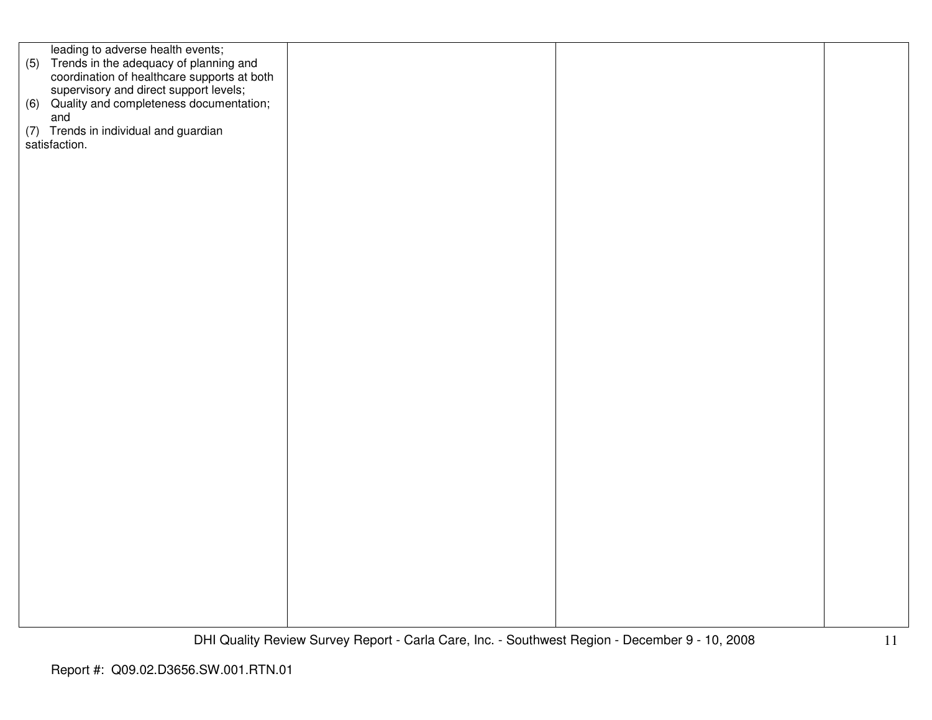| leading to adverse health events;                                                         |  |  |
|-------------------------------------------------------------------------------------------|--|--|
| (5) Trends in the adequacy of planning and<br>coordination of healthcare supports at both |  |  |
|                                                                                           |  |  |
|                                                                                           |  |  |
| supervisory and direct support levels;<br>(6) Quality and completeness documentation;     |  |  |
| and                                                                                       |  |  |
|                                                                                           |  |  |
| (7) Trends in individual and guardian                                                     |  |  |
| satisfaction.                                                                             |  |  |
|                                                                                           |  |  |
|                                                                                           |  |  |
|                                                                                           |  |  |
|                                                                                           |  |  |
|                                                                                           |  |  |
|                                                                                           |  |  |
|                                                                                           |  |  |
|                                                                                           |  |  |
|                                                                                           |  |  |
|                                                                                           |  |  |
|                                                                                           |  |  |
|                                                                                           |  |  |
|                                                                                           |  |  |
|                                                                                           |  |  |
|                                                                                           |  |  |
|                                                                                           |  |  |
|                                                                                           |  |  |
|                                                                                           |  |  |
|                                                                                           |  |  |
|                                                                                           |  |  |
|                                                                                           |  |  |
|                                                                                           |  |  |
|                                                                                           |  |  |
|                                                                                           |  |  |
|                                                                                           |  |  |
|                                                                                           |  |  |
|                                                                                           |  |  |
|                                                                                           |  |  |
|                                                                                           |  |  |
|                                                                                           |  |  |
|                                                                                           |  |  |
|                                                                                           |  |  |
|                                                                                           |  |  |
|                                                                                           |  |  |
|                                                                                           |  |  |
|                                                                                           |  |  |
|                                                                                           |  |  |
|                                                                                           |  |  |
|                                                                                           |  |  |
|                                                                                           |  |  |
|                                                                                           |  |  |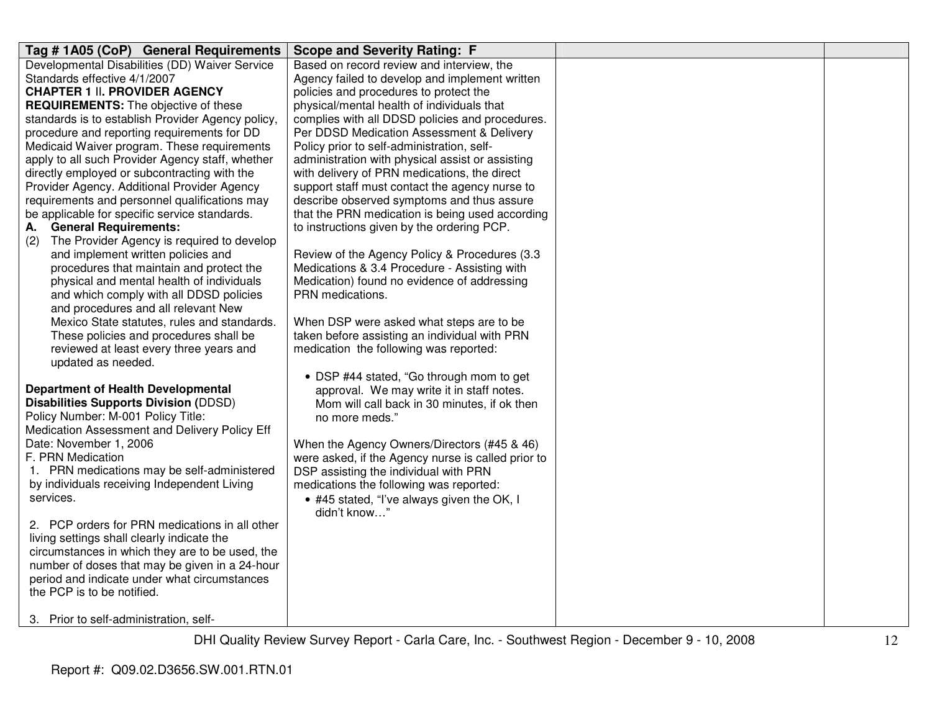| Tag # 1A05 (CoP) General Requirements             | <b>Scope and Severity Rating: F</b>                |  |
|---------------------------------------------------|----------------------------------------------------|--|
| Developmental Disabilities (DD) Waiver Service    | Based on record review and interview, the          |  |
| Standards effective 4/1/2007                      | Agency failed to develop and implement written     |  |
| <b>CHAPTER 1 II. PROVIDER AGENCY</b>              | policies and procedures to protect the             |  |
| <b>REQUIREMENTS:</b> The objective of these       | physical/mental health of individuals that         |  |
| standards is to establish Provider Agency policy, | complies with all DDSD policies and procedures.    |  |
| procedure and reporting requirements for DD       | Per DDSD Medication Assessment & Delivery          |  |
| Medicaid Waiver program. These requirements       | Policy prior to self-administration, self-         |  |
| apply to all such Provider Agency staff, whether  | administration with physical assist or assisting   |  |
| directly employed or subcontracting with the      | with delivery of PRN medications, the direct       |  |
| Provider Agency. Additional Provider Agency       | support staff must contact the agency nurse to     |  |
| requirements and personnel qualifications may     | describe observed symptoms and thus assure         |  |
| be applicable for specific service standards.     | that the PRN medication is being used according    |  |
| <b>General Requirements:</b><br>А.                | to instructions given by the ordering PCP.         |  |
| The Provider Agency is required to develop<br>(2) |                                                    |  |
| and implement written policies and                | Review of the Agency Policy & Procedures (3.3)     |  |
| procedures that maintain and protect the          | Medications & 3.4 Procedure - Assisting with       |  |
| physical and mental health of individuals         | Medication) found no evidence of addressing        |  |
| and which comply with all DDSD policies           | PRN medications.                                   |  |
| and procedures and all relevant New               |                                                    |  |
| Mexico State statutes, rules and standards.       | When DSP were asked what steps are to be           |  |
| These policies and procedures shall be            | taken before assisting an individual with PRN      |  |
| reviewed at least every three years and           | medication the following was reported:             |  |
| updated as needed.                                |                                                    |  |
|                                                   | • DSP #44 stated, "Go through mom to get           |  |
| <b>Department of Health Developmental</b>         | approval. We may write it in staff notes.          |  |
| <b>Disabilities Supports Division (DDSD)</b>      | Mom will call back in 30 minutes, if ok then       |  |
| Policy Number: M-001 Policy Title:                | no more meds."                                     |  |
| Medication Assessment and Delivery Policy Eff     |                                                    |  |
| Date: November 1, 2006                            | When the Agency Owners/Directors (#45 & 46)        |  |
| F. PRN Medication                                 | were asked, if the Agency nurse is called prior to |  |
| 1. PRN medications may be self-administered       | DSP assisting the individual with PRN              |  |
| by individuals receiving Independent Living       | medications the following was reported:            |  |
| services.                                         | • #45 stated, "I've always given the OK, I         |  |
|                                                   | didn't know"                                       |  |
| 2. PCP orders for PRN medications in all other    |                                                    |  |
| living settings shall clearly indicate the        |                                                    |  |
| circumstances in which they are to be used, the   |                                                    |  |
| number of doses that may be given in a 24-hour    |                                                    |  |
| period and indicate under what circumstances      |                                                    |  |
| the PCP is to be notified.                        |                                                    |  |
| 3. Prior to self-administration, self-            |                                                    |  |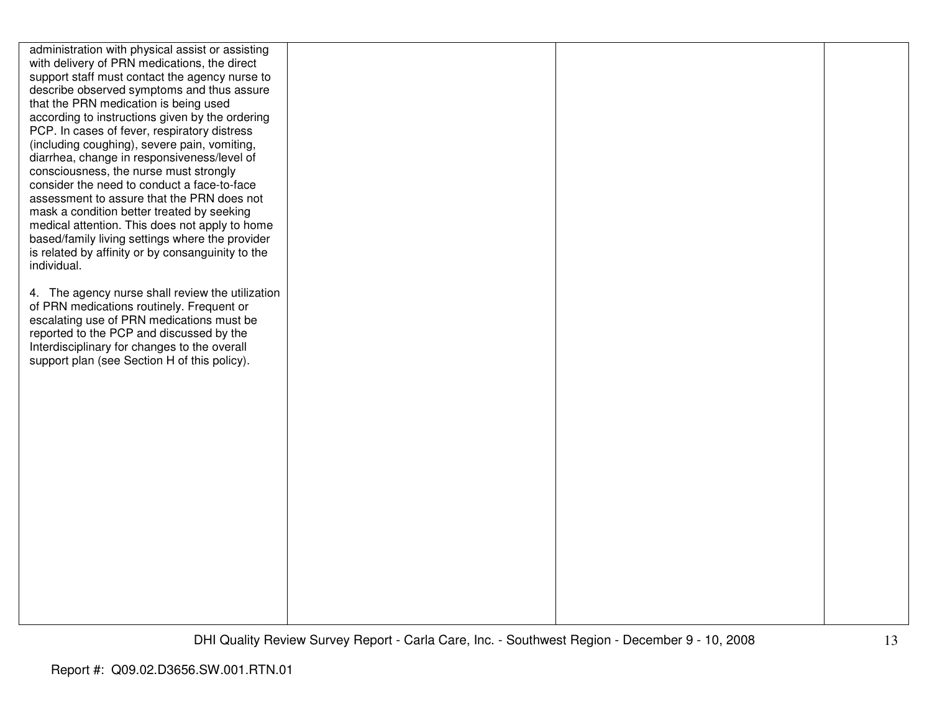| administration with physical assist or assisting  |  |  |
|---------------------------------------------------|--|--|
| with delivery of PRN medications, the direct      |  |  |
| support staff must contact the agency nurse to    |  |  |
| describe observed symptoms and thus assure        |  |  |
| that the PRN medication is being used             |  |  |
| according to instructions given by the ordering   |  |  |
| PCP. In cases of fever, respiratory distress      |  |  |
| (including coughing), severe pain, vomiting,      |  |  |
| diarrhea, change in responsiveness/level of       |  |  |
| consciousness, the nurse must strongly            |  |  |
| consider the need to conduct a face-to-face       |  |  |
| assessment to assure that the PRN does not        |  |  |
| mask a condition better treated by seeking        |  |  |
| medical attention. This does not apply to home    |  |  |
| based/family living settings where the provider   |  |  |
| is related by affinity or by consanguinity to the |  |  |
| individual.                                       |  |  |
|                                                   |  |  |
| 4. The agency nurse shall review the utilization  |  |  |
| of PRN medications routinely. Frequent or         |  |  |
| escalating use of PRN medications must be         |  |  |
| reported to the PCP and discussed by the          |  |  |
| Interdisciplinary for changes to the overall      |  |  |
| support plan (see Section H of this policy).      |  |  |
|                                                   |  |  |
|                                                   |  |  |
|                                                   |  |  |
|                                                   |  |  |
|                                                   |  |  |
|                                                   |  |  |
|                                                   |  |  |
|                                                   |  |  |
|                                                   |  |  |
|                                                   |  |  |
|                                                   |  |  |
|                                                   |  |  |
|                                                   |  |  |
|                                                   |  |  |
|                                                   |  |  |
|                                                   |  |  |
|                                                   |  |  |
|                                                   |  |  |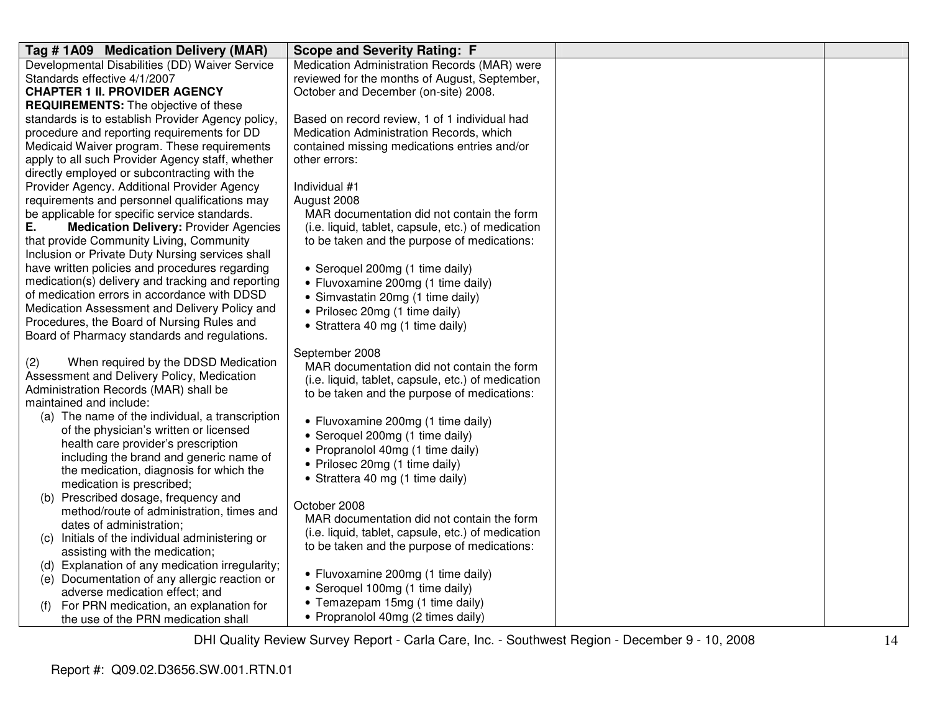| Tag #1A09 Medication Delivery (MAR)                                                       | <b>Scope and Severity Rating: F</b>                |  |
|-------------------------------------------------------------------------------------------|----------------------------------------------------|--|
| Developmental Disabilities (DD) Waiver Service                                            | Medication Administration Records (MAR) were       |  |
| Standards effective 4/1/2007                                                              | reviewed for the months of August, September,      |  |
| <b>CHAPTER 1 II. PROVIDER AGENCY</b>                                                      | October and December (on-site) 2008.               |  |
| <b>REQUIREMENTS:</b> The objective of these                                               |                                                    |  |
| standards is to establish Provider Agency policy,                                         | Based on record review, 1 of 1 individual had      |  |
| procedure and reporting requirements for DD                                               | Medication Administration Records, which           |  |
| Medicaid Waiver program. These requirements                                               | contained missing medications entries and/or       |  |
| apply to all such Provider Agency staff, whether                                          | other errors:                                      |  |
| directly employed or subcontracting with the                                              |                                                    |  |
| Provider Agency. Additional Provider Agency                                               | Individual #1                                      |  |
| requirements and personnel qualifications may                                             | August 2008                                        |  |
| be applicable for specific service standards.                                             | MAR documentation did not contain the form         |  |
| Ε.<br><b>Medication Delivery: Provider Agencies</b>                                       | (i.e. liquid, tablet, capsule, etc.) of medication |  |
| that provide Community Living, Community                                                  | to be taken and the purpose of medications:        |  |
| Inclusion or Private Duty Nursing services shall                                          |                                                    |  |
| have written policies and procedures regarding                                            | • Seroquel 200mg (1 time daily)                    |  |
| medication(s) delivery and tracking and reporting                                         | • Fluvoxamine 200mg (1 time daily)                 |  |
| of medication errors in accordance with DDSD                                              | • Simvastatin 20mg (1 time daily)                  |  |
| Medication Assessment and Delivery Policy and                                             | • Prilosec 20mg (1 time daily)                     |  |
| Procedures, the Board of Nursing Rules and                                                | • Strattera 40 mg (1 time daily)                   |  |
| Board of Pharmacy standards and regulations.                                              |                                                    |  |
|                                                                                           | September 2008                                     |  |
| When required by the DDSD Medication<br>(2)<br>Assessment and Delivery Policy, Medication | MAR documentation did not contain the form         |  |
| Administration Records (MAR) shall be                                                     | (i.e. liquid, tablet, capsule, etc.) of medication |  |
| maintained and include:                                                                   | to be taken and the purpose of medications:        |  |
| (a) The name of the individual, a transcription                                           |                                                    |  |
| of the physician's written or licensed                                                    | • Fluvoxamine 200mg (1 time daily)                 |  |
| health care provider's prescription                                                       | • Seroquel 200mg (1 time daily)                    |  |
| including the brand and generic name of                                                   | • Propranolol 40mg (1 time daily)                  |  |
| the medication, diagnosis for which the                                                   | • Prilosec 20mg (1 time daily)                     |  |
| medication is prescribed;                                                                 | • Strattera 40 mg (1 time daily)                   |  |
| (b) Prescribed dosage, frequency and                                                      |                                                    |  |
| method/route of administration, times and                                                 | October 2008                                       |  |
| dates of administration;                                                                  | MAR documentation did not contain the form         |  |
| Initials of the individual administering or<br>(C)                                        | (i.e. liquid, tablet, capsule, etc.) of medication |  |
| assisting with the medication;                                                            | to be taken and the purpose of medications:        |  |
| (d) Explanation of any medication irregularity;                                           |                                                    |  |
| Documentation of any allergic reaction or<br>(e)                                          | • Fluvoxamine 200mg (1 time daily)                 |  |
| adverse medication effect; and                                                            | • Seroquel 100mg (1 time daily)                    |  |
| For PRN medication, an explanation for<br>(f)                                             | • Temazepam 15mg (1 time daily)                    |  |
| the use of the PRN medication shall                                                       | • Propranolol 40mg (2 times daily)                 |  |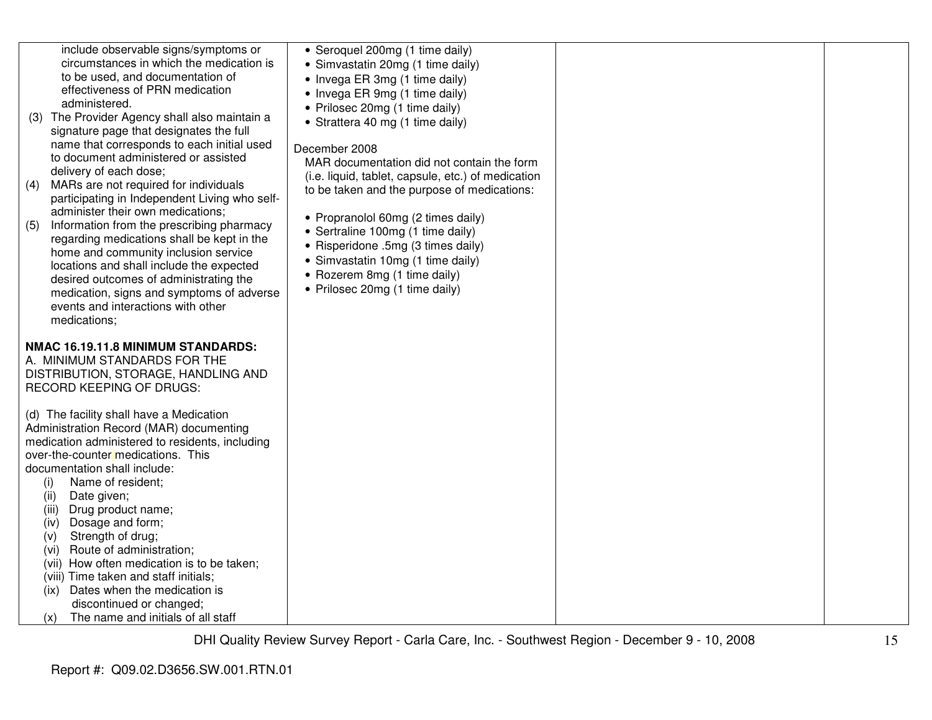| include observable signs/symptoms or<br>circumstances in which the medication is<br>to be used, and documentation of<br>effectiveness of PRN medication<br>administered.<br>(3) The Provider Agency shall also maintain a<br>signature page that designates the full<br>name that corresponds to each initial used<br>to document administered or assisted<br>delivery of each dose;<br>MARs are not required for individuals<br>(4)<br>participating in Independent Living who self-<br>administer their own medications;<br>Information from the prescribing pharmacy<br>(5)<br>regarding medications shall be kept in the<br>home and community inclusion service<br>locations and shall include the expected<br>desired outcomes of administrating the<br>medication, signs and symptoms of adverse<br>events and interactions with other<br>medications; | • Seroquel 200mg (1 time daily)<br>• Simvastatin 20mg (1 time daily)<br>• Invega ER 3mg (1 time daily)<br>• Invega ER 9mg (1 time daily)<br>• Prilosec 20mg (1 time daily)<br>• Strattera 40 mg (1 time daily)<br>December 2008<br>MAR documentation did not contain the form<br>(i.e. liquid, tablet, capsule, etc.) of medication<br>to be taken and the purpose of medications:<br>• Propranolol 60mg (2 times daily)<br>• Sertraline 100mg (1 time daily)<br>• Risperidone .5mg (3 times daily)<br>• Simvastatin 10mg (1 time daily)<br>• Rozerem 8mg (1 time daily)<br>• Prilosec 20mg (1 time daily) |  |
|---------------------------------------------------------------------------------------------------------------------------------------------------------------------------------------------------------------------------------------------------------------------------------------------------------------------------------------------------------------------------------------------------------------------------------------------------------------------------------------------------------------------------------------------------------------------------------------------------------------------------------------------------------------------------------------------------------------------------------------------------------------------------------------------------------------------------------------------------------------|------------------------------------------------------------------------------------------------------------------------------------------------------------------------------------------------------------------------------------------------------------------------------------------------------------------------------------------------------------------------------------------------------------------------------------------------------------------------------------------------------------------------------------------------------------------------------------------------------------|--|
| NMAC 16.19.11.8 MINIMUM STANDARDS:                                                                                                                                                                                                                                                                                                                                                                                                                                                                                                                                                                                                                                                                                                                                                                                                                            |                                                                                                                                                                                                                                                                                                                                                                                                                                                                                                                                                                                                            |  |
| A. MINIMUM STANDARDS FOR THE<br>DISTRIBUTION, STORAGE, HANDLING AND<br>RECORD KEEPING OF DRUGS:                                                                                                                                                                                                                                                                                                                                                                                                                                                                                                                                                                                                                                                                                                                                                               |                                                                                                                                                                                                                                                                                                                                                                                                                                                                                                                                                                                                            |  |
| (d) The facility shall have a Medication<br>Administration Record (MAR) documenting<br>medication administered to residents, including<br>over-the-counter medications. This<br>documentation shall include:<br>Name of resident;<br>(i)<br>Date given;<br>(ii)<br>(iii)<br>Drug product name;<br>Dosage and form;<br>(iv)<br>Strength of drug;<br>(v)<br>Route of administration;<br>(vi)<br>(vii) How often medication is to be taken;<br>(viii) Time taken and staff initials;<br>Dates when the medication is<br>(ix)<br>discontinued or changed;<br>The name and initials of all staff<br>(x)                                                                                                                                                                                                                                                            |                                                                                                                                                                                                                                                                                                                                                                                                                                                                                                                                                                                                            |  |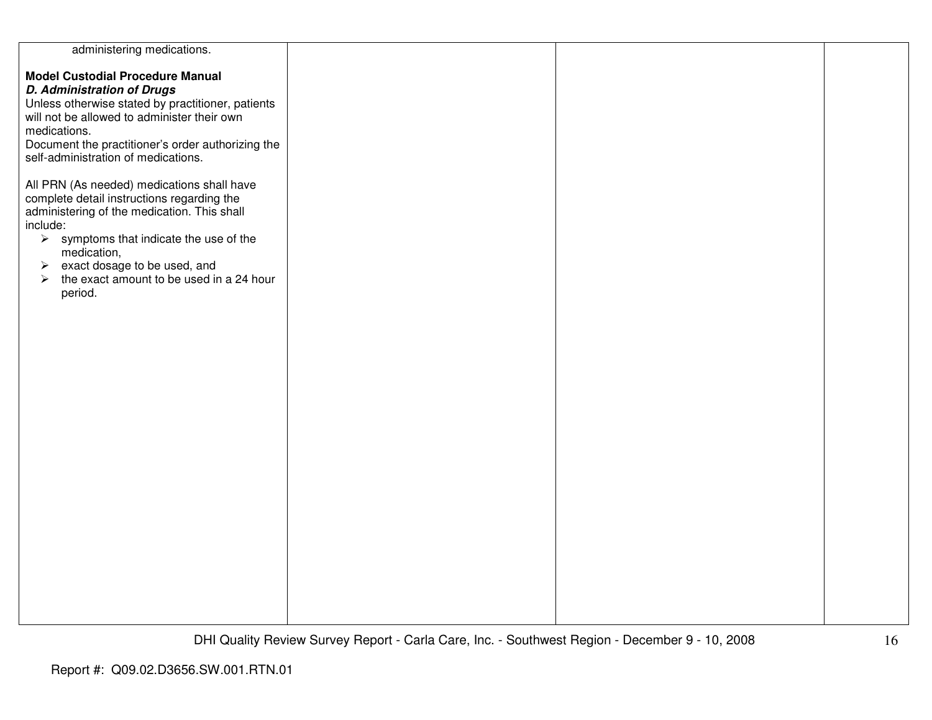| administering medications.                                        |  |  |
|-------------------------------------------------------------------|--|--|
|                                                                   |  |  |
| <b>Model Custodial Procedure Manual</b>                           |  |  |
|                                                                   |  |  |
| <b>D. Administration of Drugs</b>                                 |  |  |
| Unless otherwise stated by practitioner, patients                 |  |  |
|                                                                   |  |  |
| will not be allowed to administer their own                       |  |  |
| medications.                                                      |  |  |
|                                                                   |  |  |
| Document the practitioner's order authorizing the                 |  |  |
| self-administration of medications.                               |  |  |
|                                                                   |  |  |
|                                                                   |  |  |
| All PRN (As needed) medications shall have                        |  |  |
| complete detail instructions regarding the                        |  |  |
|                                                                   |  |  |
| administering of the medication. This shall                       |  |  |
| include:                                                          |  |  |
| $\triangleright$ symptoms that indicate the use of the            |  |  |
|                                                                   |  |  |
| medication,                                                       |  |  |
| $\triangleright$ exact dosage to be used, and                     |  |  |
| the exact amount to be used in a 24 hour<br>$\blacktriangleright$ |  |  |
|                                                                   |  |  |
| period.                                                           |  |  |
|                                                                   |  |  |
|                                                                   |  |  |
|                                                                   |  |  |
|                                                                   |  |  |
|                                                                   |  |  |
|                                                                   |  |  |
|                                                                   |  |  |
|                                                                   |  |  |
|                                                                   |  |  |
|                                                                   |  |  |
|                                                                   |  |  |
|                                                                   |  |  |
|                                                                   |  |  |
|                                                                   |  |  |
|                                                                   |  |  |
|                                                                   |  |  |
|                                                                   |  |  |
|                                                                   |  |  |
|                                                                   |  |  |
|                                                                   |  |  |
|                                                                   |  |  |
|                                                                   |  |  |
|                                                                   |  |  |
|                                                                   |  |  |
|                                                                   |  |  |
|                                                                   |  |  |
|                                                                   |  |  |
|                                                                   |  |  |
|                                                                   |  |  |
|                                                                   |  |  |
|                                                                   |  |  |
|                                                                   |  |  |
|                                                                   |  |  |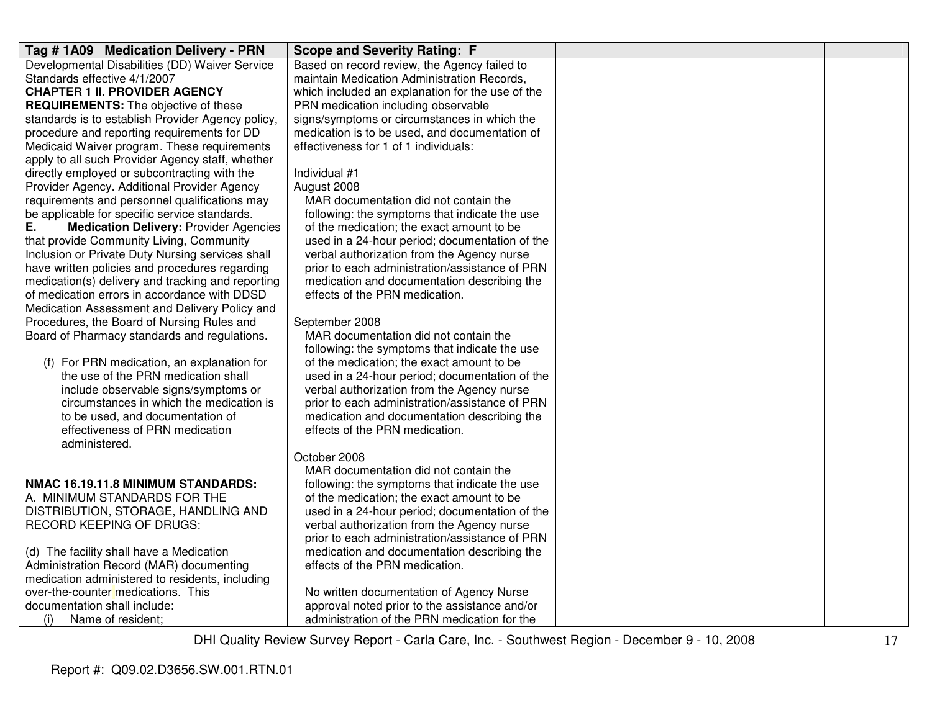| Tag #1A09 Medication Delivery - PRN                                                          | <b>Scope and Severity Rating: F</b>                                                          |  |
|----------------------------------------------------------------------------------------------|----------------------------------------------------------------------------------------------|--|
| Developmental Disabilities (DD) Waiver Service                                               | Based on record review, the Agency failed to                                                 |  |
| Standards effective 4/1/2007                                                                 | maintain Medication Administration Records,                                                  |  |
| <b>CHAPTER 1 II. PROVIDER AGENCY</b>                                                         | which included an explanation for the use of the                                             |  |
| <b>REQUIREMENTS:</b> The objective of these                                                  | PRN medication including observable                                                          |  |
| standards is to establish Provider Agency policy,                                            | signs/symptoms or circumstances in which the                                                 |  |
| procedure and reporting requirements for DD                                                  | medication is to be used, and documentation of                                               |  |
| Medicaid Waiver program. These requirements                                                  | effectiveness for 1 of 1 individuals:                                                        |  |
| apply to all such Provider Agency staff, whether                                             |                                                                                              |  |
| directly employed or subcontracting with the                                                 | Individual #1                                                                                |  |
| Provider Agency. Additional Provider Agency                                                  | August 2008                                                                                  |  |
| requirements and personnel qualifications may                                                | MAR documentation did not contain the                                                        |  |
| be applicable for specific service standards.<br>Е.                                          | following: the symptoms that indicate the use                                                |  |
| <b>Medication Delivery: Provider Agencies</b>                                                | of the medication; the exact amount to be                                                    |  |
| that provide Community Living, Community<br>Inclusion or Private Duty Nursing services shall | used in a 24-hour period; documentation of the<br>verbal authorization from the Agency nurse |  |
| have written policies and procedures regarding                                               | prior to each administration/assistance of PRN                                               |  |
| medication(s) delivery and tracking and reporting                                            | medication and documentation describing the                                                  |  |
| of medication errors in accordance with DDSD                                                 | effects of the PRN medication.                                                               |  |
| Medication Assessment and Delivery Policy and                                                |                                                                                              |  |
| Procedures, the Board of Nursing Rules and                                                   | September 2008                                                                               |  |
| Board of Pharmacy standards and regulations.                                                 | MAR documentation did not contain the                                                        |  |
|                                                                                              | following: the symptoms that indicate the use                                                |  |
| (f) For PRN medication, an explanation for                                                   | of the medication; the exact amount to be                                                    |  |
| the use of the PRN medication shall                                                          | used in a 24-hour period; documentation of the                                               |  |
| include observable signs/symptoms or                                                         | verbal authorization from the Agency nurse                                                   |  |
| circumstances in which the medication is                                                     | prior to each administration/assistance of PRN                                               |  |
| to be used, and documentation of                                                             | medication and documentation describing the                                                  |  |
| effectiveness of PRN medication                                                              | effects of the PRN medication.                                                               |  |
| administered.                                                                                |                                                                                              |  |
|                                                                                              | October 2008                                                                                 |  |
|                                                                                              | MAR documentation did not contain the                                                        |  |
| NMAC 16.19.11.8 MINIMUM STANDARDS:                                                           | following: the symptoms that indicate the use                                                |  |
| A. MINIMUM STANDARDS FOR THE                                                                 | of the medication; the exact amount to be                                                    |  |
| DISTRIBUTION, STORAGE, HANDLING AND                                                          | used in a 24-hour period; documentation of the                                               |  |
| <b>RECORD KEEPING OF DRUGS:</b>                                                              | verbal authorization from the Agency nurse                                                   |  |
|                                                                                              | prior to each administration/assistance of PRN                                               |  |
| (d) The facility shall have a Medication                                                     | medication and documentation describing the                                                  |  |
| Administration Record (MAR) documenting                                                      | effects of the PRN medication.                                                               |  |
| medication administered to residents, including                                              |                                                                                              |  |
| over-the-counter medications. This                                                           | No written documentation of Agency Nurse                                                     |  |
| documentation shall include:                                                                 | approval noted prior to the assistance and/or                                                |  |
| Name of resident;<br>(i)                                                                     | administration of the PRN medication for the                                                 |  |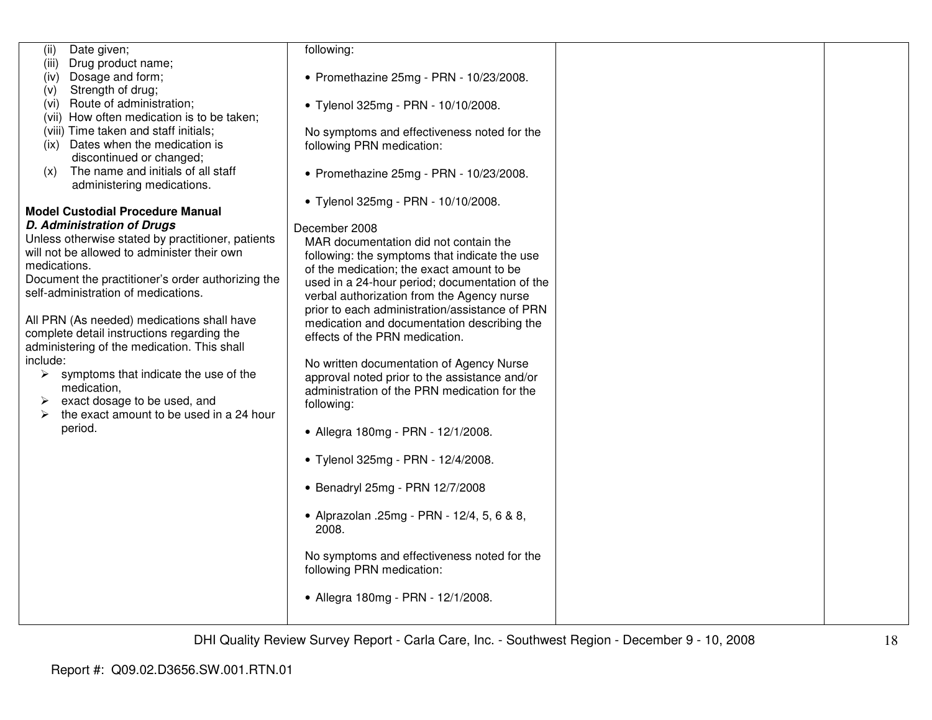| Date given;<br>(ii)                                    | following:                                     |  |
|--------------------------------------------------------|------------------------------------------------|--|
| Drug product name;<br>(iii)                            |                                                |  |
| Dosage and form;<br>(iv)                               | • Promethazine 25mg - PRN - 10/23/2008.        |  |
| Strength of drug;<br>(V)                               |                                                |  |
| (vi) Route of administration;                          | • Tylenol 325mg - PRN - 10/10/2008.            |  |
| (vii) How often medication is to be taken;             |                                                |  |
| (viii) Time taken and staff initials;                  | No symptoms and effectiveness noted for the    |  |
| (ix) Dates when the medication is                      | following PRN medication:                      |  |
| discontinued or changed;                               |                                                |  |
| The name and initials of all staff<br>(x)              | • Promethazine 25mg - PRN - 10/23/2008.        |  |
| administering medications.                             |                                                |  |
|                                                        | • Tylenol 325mg - PRN - 10/10/2008.            |  |
| <b>Model Custodial Procedure Manual</b>                |                                                |  |
| <b>D. Administration of Drugs</b>                      | December 2008                                  |  |
| Unless otherwise stated by practitioner, patients      | MAR documentation did not contain the          |  |
| will not be allowed to administer their own            | following: the symptoms that indicate the use  |  |
| medications.                                           | of the medication; the exact amount to be      |  |
| Document the practitioner's order authorizing the      | used in a 24-hour period; documentation of the |  |
| self-administration of medications.                    | verbal authorization from the Agency nurse     |  |
|                                                        | prior to each administration/assistance of PRN |  |
| All PRN (As needed) medications shall have             | medication and documentation describing the    |  |
| complete detail instructions regarding the             | effects of the PRN medication.                 |  |
| administering of the medication. This shall            |                                                |  |
| include:                                               | No written documentation of Agency Nurse       |  |
| $\triangleright$ symptoms that indicate the use of the | approval noted prior to the assistance and/or  |  |
| medication,                                            | administration of the PRN medication for the   |  |
| exact dosage to be used, and<br>➤                      | following:                                     |  |
| the exact amount to be used in a 24 hour<br>⋗          |                                                |  |
| period.                                                | • Allegra 180mg - PRN - 12/1/2008.             |  |
|                                                        |                                                |  |
|                                                        | • Tylenol 325mg - PRN - 12/4/2008.             |  |
|                                                        |                                                |  |
|                                                        | • Benadryl 25mg - PRN 12/7/2008                |  |
|                                                        |                                                |  |
|                                                        | • Alprazolan .25mg - PRN - 12/4, 5, 6 & 8,     |  |
|                                                        | 2008.                                          |  |
|                                                        |                                                |  |
|                                                        | No symptoms and effectiveness noted for the    |  |
|                                                        | following PRN medication:                      |  |
|                                                        |                                                |  |
|                                                        | • Allegra 180mg - PRN - 12/1/2008.             |  |
|                                                        |                                                |  |
|                                                        |                                                |  |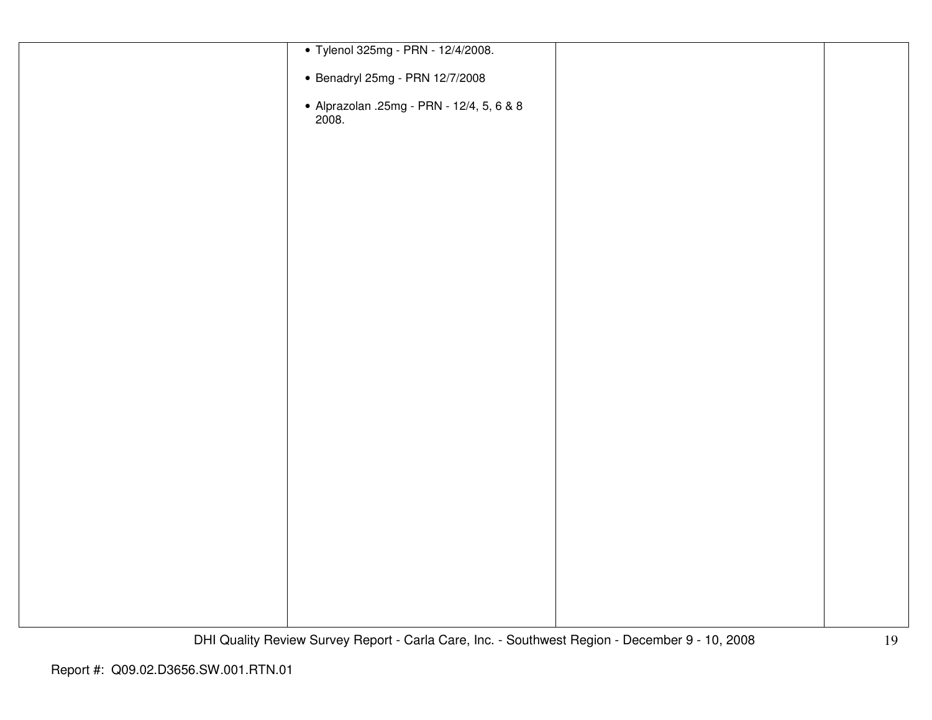| • Tylenol 325mg - PRN - 12/4/2008.                 |  |
|----------------------------------------------------|--|
|                                                    |  |
| • Benadryl 25mg - PRN 12/7/2008                    |  |
|                                                    |  |
| • Alprazolan .25mg - PRN - 12/4, 5, 6 & 8<br>2008. |  |
|                                                    |  |
|                                                    |  |
|                                                    |  |
|                                                    |  |
|                                                    |  |
|                                                    |  |
|                                                    |  |
|                                                    |  |
|                                                    |  |
|                                                    |  |
|                                                    |  |
|                                                    |  |
|                                                    |  |
|                                                    |  |
|                                                    |  |
|                                                    |  |
|                                                    |  |
|                                                    |  |
|                                                    |  |
|                                                    |  |
|                                                    |  |
|                                                    |  |
|                                                    |  |
|                                                    |  |
|                                                    |  |
|                                                    |  |
|                                                    |  |
|                                                    |  |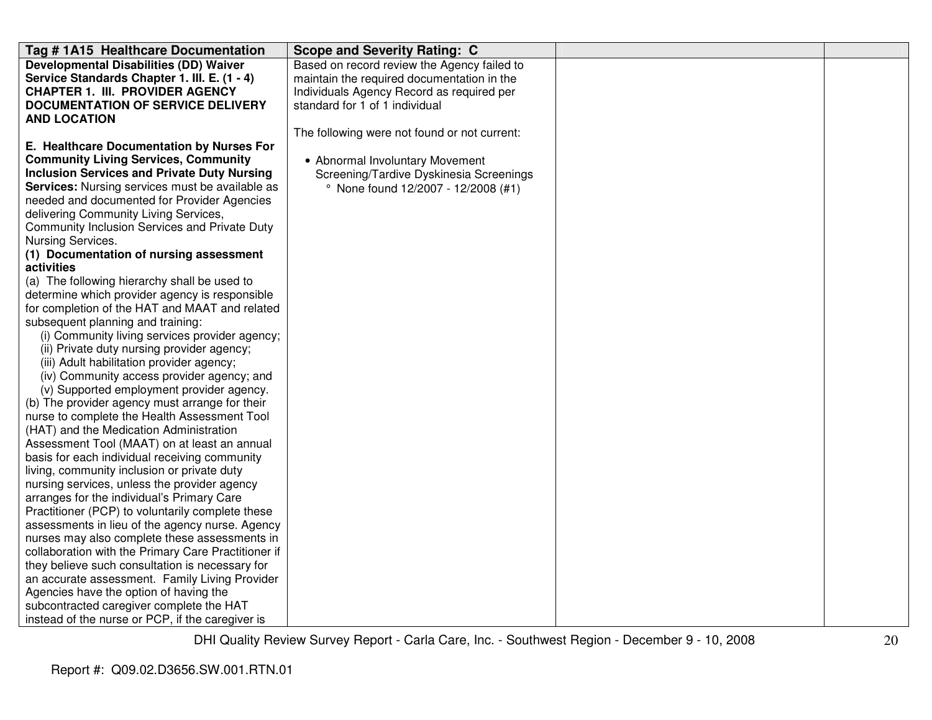| Tag # 1A15 Healthcare Documentation                                                           | <b>Scope and Severity Rating: C</b>          |  |
|-----------------------------------------------------------------------------------------------|----------------------------------------------|--|
| <b>Developmental Disabilities (DD) Waiver</b>                                                 | Based on record review the Agency failed to  |  |
| Service Standards Chapter 1. III. E. (1 - 4)                                                  | maintain the required documentation in the   |  |
| <b>CHAPTER 1. III. PROVIDER AGENCY</b>                                                        | Individuals Agency Record as required per    |  |
| <b>DOCUMENTATION OF SERVICE DELIVERY</b>                                                      | standard for 1 of 1 individual               |  |
| <b>AND LOCATION</b>                                                                           |                                              |  |
|                                                                                               | The following were not found or not current: |  |
| E. Healthcare Documentation by Nurses For                                                     |                                              |  |
| <b>Community Living Services, Community</b>                                                   | • Abnormal Involuntary Movement              |  |
| <b>Inclusion Services and Private Duty Nursing</b>                                            | Screening/Tardive Dyskinesia Screenings      |  |
| Services: Nursing services must be available as                                               | ° None found 12/2007 - 12/2008 (#1)          |  |
| needed and documented for Provider Agencies                                                   |                                              |  |
| delivering Community Living Services,                                                         |                                              |  |
| Community Inclusion Services and Private Duty                                                 |                                              |  |
| Nursing Services.                                                                             |                                              |  |
| (1) Documentation of nursing assessment                                                       |                                              |  |
| activities                                                                                    |                                              |  |
| (a) The following hierarchy shall be used to                                                  |                                              |  |
| determine which provider agency is responsible                                                |                                              |  |
| for completion of the HAT and MAAT and related                                                |                                              |  |
| subsequent planning and training:                                                             |                                              |  |
| (i) Community living services provider agency;                                                |                                              |  |
| (ii) Private duty nursing provider agency;                                                    |                                              |  |
| (iii) Adult habilitation provider agency;                                                     |                                              |  |
| (iv) Community access provider agency; and                                                    |                                              |  |
| (v) Supported employment provider agency.                                                     |                                              |  |
| (b) The provider agency must arrange for their                                                |                                              |  |
| nurse to complete the Health Assessment Tool                                                  |                                              |  |
| (HAT) and the Medication Administration                                                       |                                              |  |
| Assessment Tool (MAAT) on at least an annual<br>basis for each individual receiving community |                                              |  |
| living, community inclusion or private duty                                                   |                                              |  |
| nursing services, unless the provider agency                                                  |                                              |  |
| arranges for the individual's Primary Care                                                    |                                              |  |
| Practitioner (PCP) to voluntarily complete these                                              |                                              |  |
| assessments in lieu of the agency nurse. Agency                                               |                                              |  |
| nurses may also complete these assessments in                                                 |                                              |  |
| collaboration with the Primary Care Practitioner if                                           |                                              |  |
| they believe such consultation is necessary for                                               |                                              |  |
| an accurate assessment. Family Living Provider                                                |                                              |  |
| Agencies have the option of having the                                                        |                                              |  |
| subcontracted caregiver complete the HAT                                                      |                                              |  |
| instead of the nurse or PCP, if the caregiver is                                              |                                              |  |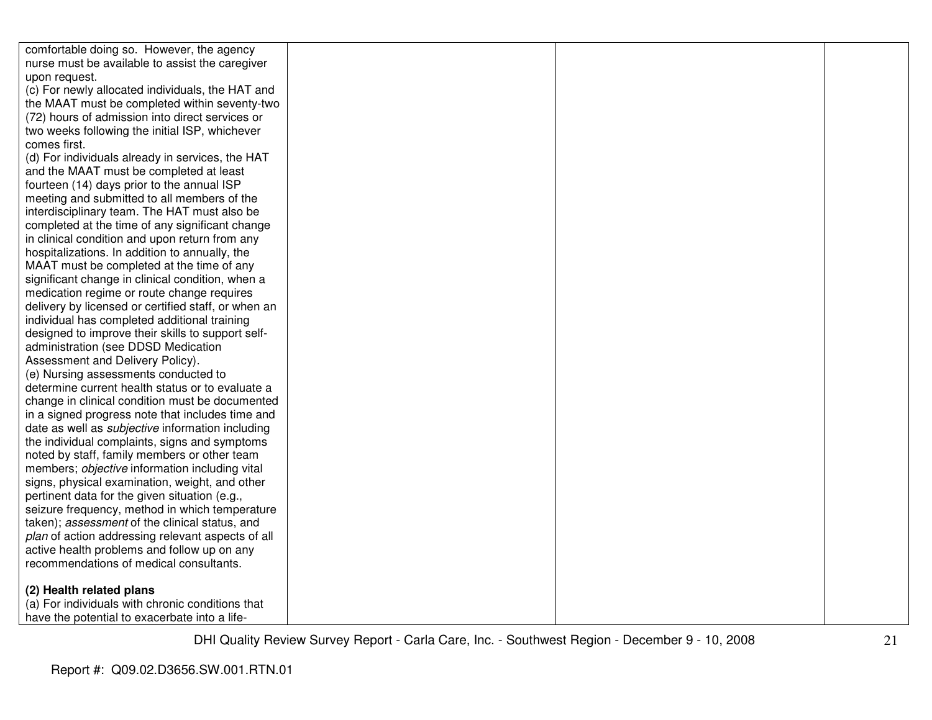| comfortable doing so. However, the agency               |  |  |
|---------------------------------------------------------|--|--|
| nurse must be available to assist the caregiver         |  |  |
| upon request.                                           |  |  |
| (c) For newly allocated individuals, the HAT and        |  |  |
| the MAAT must be completed within seventy-two           |  |  |
| (72) hours of admission into direct services or         |  |  |
| two weeks following the initial ISP, whichever          |  |  |
| comes first.                                            |  |  |
| (d) For individuals already in services, the HAT        |  |  |
| and the MAAT must be completed at least                 |  |  |
| fourteen (14) days prior to the annual ISP              |  |  |
| meeting and submitted to all members of the             |  |  |
| interdisciplinary team. The HAT must also be            |  |  |
| completed at the time of any significant change         |  |  |
| in clinical condition and upon return from any          |  |  |
| hospitalizations. In addition to annually, the          |  |  |
| MAAT must be completed at the time of any               |  |  |
| significant change in clinical condition, when a        |  |  |
| medication regime or route change requires              |  |  |
| delivery by licensed or certified staff, or when an     |  |  |
| individual has completed additional training            |  |  |
| designed to improve their skills to support self-       |  |  |
| administration (see DDSD Medication                     |  |  |
| Assessment and Delivery Policy).                        |  |  |
| (e) Nursing assessments conducted to                    |  |  |
| determine current health status or to evaluate a        |  |  |
| change in clinical condition must be documented         |  |  |
| in a signed progress note that includes time and        |  |  |
| date as well as <i>subjective</i> information including |  |  |
| the individual complaints, signs and symptoms           |  |  |
| noted by staff, family members or other team            |  |  |
| members; objective information including vital          |  |  |
| signs, physical examination, weight, and other          |  |  |
| pertinent data for the given situation (e.g.,           |  |  |
| seizure frequency, method in which temperature          |  |  |
| taken); assessment of the clinical status, and          |  |  |
| plan of action addressing relevant aspects of all       |  |  |
| active health problems and follow up on any             |  |  |
| recommendations of medical consultants.                 |  |  |
| (2) Health related plans                                |  |  |
| (a) For individuals with chronic conditions that        |  |  |
| have the potential to exacerbate into a life-           |  |  |
|                                                         |  |  |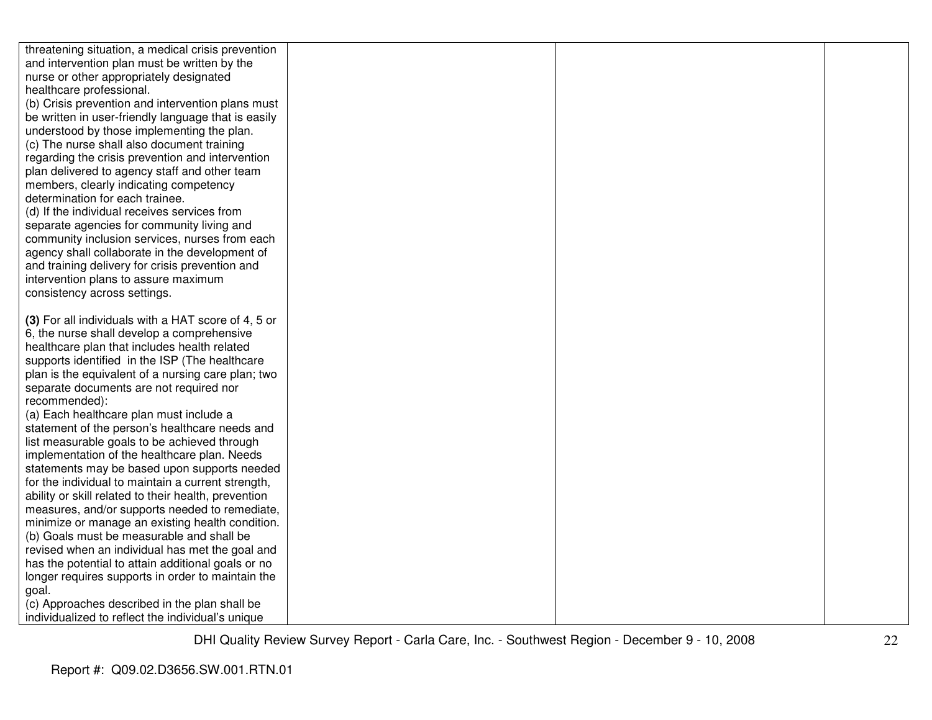| threatening situation, a medical crisis prevention                                        |  |  |
|-------------------------------------------------------------------------------------------|--|--|
| and intervention plan must be written by the                                              |  |  |
| nurse or other appropriately designated                                                   |  |  |
| healthcare professional.                                                                  |  |  |
| (b) Crisis prevention and intervention plans must                                         |  |  |
| be written in user-friendly language that is easily                                       |  |  |
| understood by those implementing the plan.                                                |  |  |
| (c) The nurse shall also document training                                                |  |  |
| regarding the crisis prevention and intervention                                          |  |  |
| plan delivered to agency staff and other team                                             |  |  |
| members, clearly indicating competency                                                    |  |  |
| determination for each trainee.                                                           |  |  |
| (d) If the individual receives services from                                              |  |  |
| separate agencies for community living and                                                |  |  |
| community inclusion services, nurses from each                                            |  |  |
| agency shall collaborate in the development of                                            |  |  |
| and training delivery for crisis prevention and                                           |  |  |
| intervention plans to assure maximum                                                      |  |  |
| consistency across settings.                                                              |  |  |
|                                                                                           |  |  |
| (3) For all individuals with a HAT score of 4, 5 or                                       |  |  |
| 6, the nurse shall develop a comprehensive                                                |  |  |
| healthcare plan that includes health related                                              |  |  |
| supports identified in the ISP (The healthcare                                            |  |  |
| plan is the equivalent of a nursing care plan; two                                        |  |  |
| separate documents are not required nor                                                   |  |  |
| recommended):                                                                             |  |  |
| (a) Each healthcare plan must include a<br>statement of the person's healthcare needs and |  |  |
| list measurable goals to be achieved through                                              |  |  |
| implementation of the healthcare plan. Needs                                              |  |  |
| statements may be based upon supports needed                                              |  |  |
| for the individual to maintain a current strength,                                        |  |  |
| ability or skill related to their health, prevention                                      |  |  |
| measures, and/or supports needed to remediate,                                            |  |  |
| minimize or manage an existing health condition.                                          |  |  |
| (b) Goals must be measurable and shall be                                                 |  |  |
| revised when an individual has met the goal and                                           |  |  |
| has the potential to attain additional goals or no                                        |  |  |
| longer requires supports in order to maintain the                                         |  |  |
| goal.                                                                                     |  |  |
| (c) Approaches described in the plan shall be                                             |  |  |
| individualized to reflect the individual's unique                                         |  |  |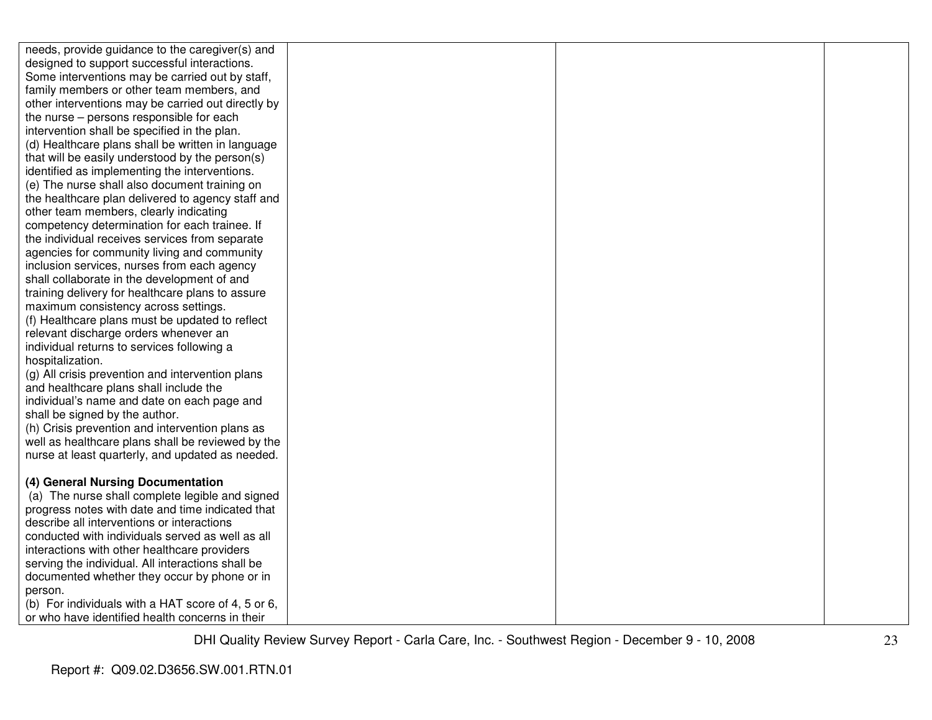| needs, provide guidance to the caregiver(s) and    |  |  |
|----------------------------------------------------|--|--|
| designed to support successful interactions.       |  |  |
| Some interventions may be carried out by staff,    |  |  |
| family members or other team members, and          |  |  |
| other interventions may be carried out directly by |  |  |
| the nurse – persons responsible for each           |  |  |
| intervention shall be specified in the plan.       |  |  |
| (d) Healthcare plans shall be written in language  |  |  |
| that will be easily understood by the person(s)    |  |  |
| identified as implementing the interventions.      |  |  |
| (e) The nurse shall also document training on      |  |  |
| the healthcare plan delivered to agency staff and  |  |  |
| other team members, clearly indicating             |  |  |
| competency determination for each trainee. If      |  |  |
| the individual receives services from separate     |  |  |
| agencies for community living and community        |  |  |
| inclusion services, nurses from each agency        |  |  |
| shall collaborate in the development of and        |  |  |
| training delivery for healthcare plans to assure   |  |  |
| maximum consistency across settings.               |  |  |
| (f) Healthcare plans must be updated to reflect    |  |  |
| relevant discharge orders whenever an              |  |  |
| individual returns to services following a         |  |  |
| hospitalization.                                   |  |  |
| (g) All crisis prevention and intervention plans   |  |  |
| and healthcare plans shall include the             |  |  |
| individual's name and date on each page and        |  |  |
| shall be signed by the author.                     |  |  |
| (h) Crisis prevention and intervention plans as    |  |  |
| well as healthcare plans shall be reviewed by the  |  |  |
| nurse at least quarterly, and updated as needed.   |  |  |
| (4) General Nursing Documentation                  |  |  |
| (a) The nurse shall complete legible and signed    |  |  |
| progress notes with date and time indicated that   |  |  |
| describe all interventions or interactions         |  |  |
| conducted with individuals served as well as all   |  |  |
| interactions with other healthcare providers       |  |  |
| serving the individual. All interactions shall be  |  |  |
| documented whether they occur by phone or in       |  |  |
| person.                                            |  |  |
| (b) For individuals with a HAT score of 4, 5 or 6, |  |  |
| or who have identified health concerns in their    |  |  |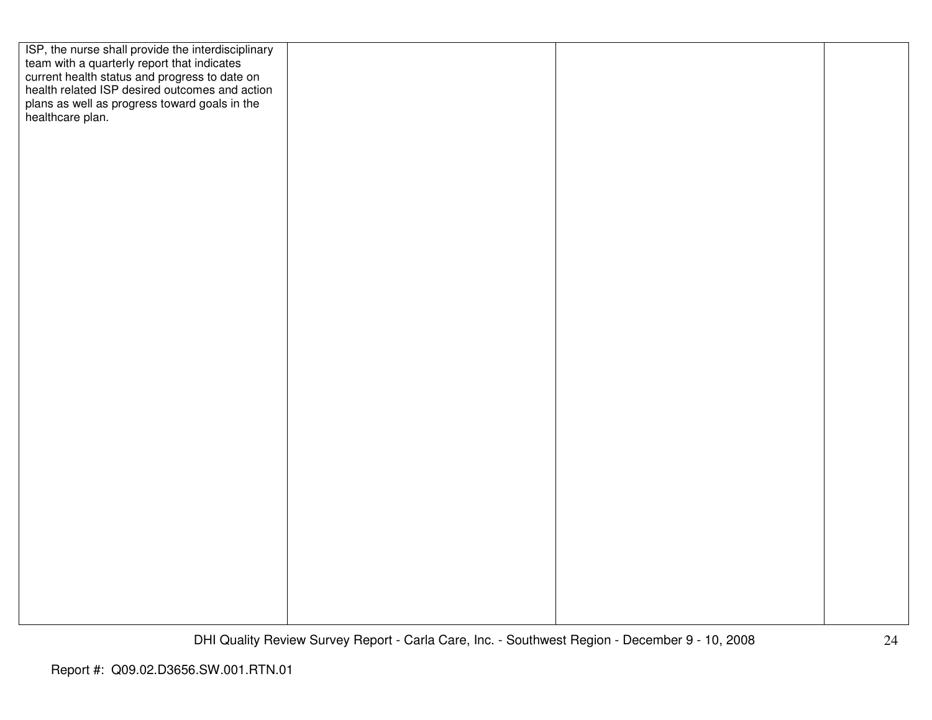| ISP, the nurse shall provide the interdisciplinary<br>team with a quarterly report that indicates<br>current health status and progress to date on<br>health related ISP desired outcomes and action<br>plans as well as progress toward goals in the healthcare plan. |  |  |
|------------------------------------------------------------------------------------------------------------------------------------------------------------------------------------------------------------------------------------------------------------------------|--|--|
|                                                                                                                                                                                                                                                                        |  |  |
|                                                                                                                                                                                                                                                                        |  |  |
|                                                                                                                                                                                                                                                                        |  |  |
|                                                                                                                                                                                                                                                                        |  |  |
|                                                                                                                                                                                                                                                                        |  |  |
|                                                                                                                                                                                                                                                                        |  |  |
|                                                                                                                                                                                                                                                                        |  |  |
|                                                                                                                                                                                                                                                                        |  |  |
|                                                                                                                                                                                                                                                                        |  |  |
|                                                                                                                                                                                                                                                                        |  |  |
|                                                                                                                                                                                                                                                                        |  |  |
|                                                                                                                                                                                                                                                                        |  |  |
|                                                                                                                                                                                                                                                                        |  |  |
|                                                                                                                                                                                                                                                                        |  |  |
|                                                                                                                                                                                                                                                                        |  |  |
|                                                                                                                                                                                                                                                                        |  |  |
|                                                                                                                                                                                                                                                                        |  |  |
|                                                                                                                                                                                                                                                                        |  |  |
|                                                                                                                                                                                                                                                                        |  |  |
|                                                                                                                                                                                                                                                                        |  |  |
|                                                                                                                                                                                                                                                                        |  |  |
|                                                                                                                                                                                                                                                                        |  |  |
|                                                                                                                                                                                                                                                                        |  |  |
|                                                                                                                                                                                                                                                                        |  |  |
|                                                                                                                                                                                                                                                                        |  |  |
|                                                                                                                                                                                                                                                                        |  |  |
|                                                                                                                                                                                                                                                                        |  |  |
|                                                                                                                                                                                                                                                                        |  |  |
|                                                                                                                                                                                                                                                                        |  |  |
|                                                                                                                                                                                                                                                                        |  |  |
|                                                                                                                                                                                                                                                                        |  |  |
|                                                                                                                                                                                                                                                                        |  |  |
|                                                                                                                                                                                                                                                                        |  |  |
|                                                                                                                                                                                                                                                                        |  |  |
|                                                                                                                                                                                                                                                                        |  |  |
|                                                                                                                                                                                                                                                                        |  |  |
|                                                                                                                                                                                                                                                                        |  |  |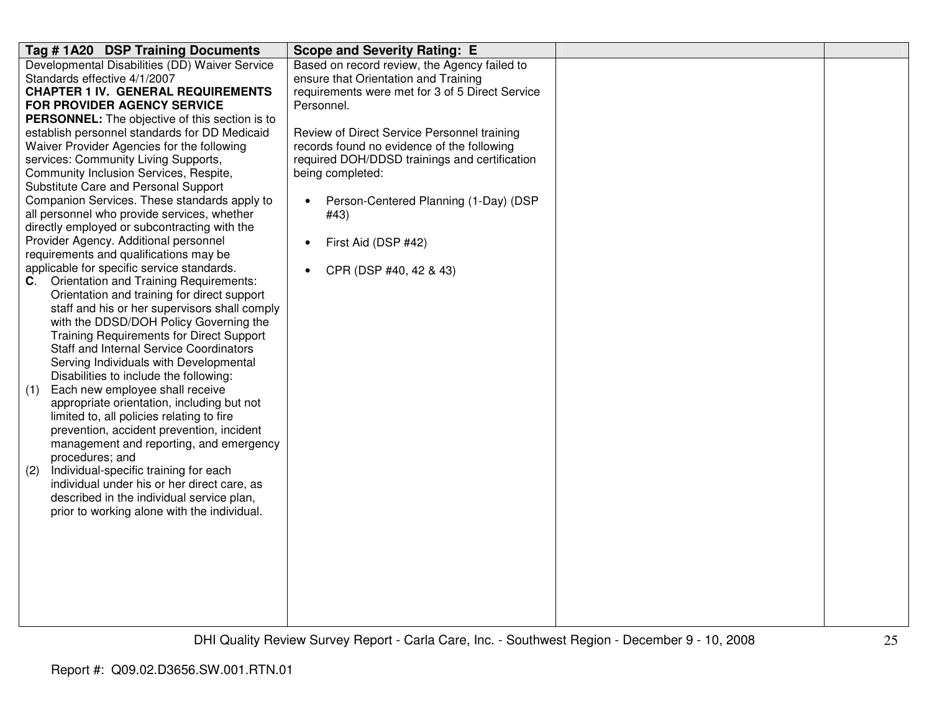| Tag #1A20 DSP Training Documents                      | <b>Scope and Severity Rating: E</b>                |  |
|-------------------------------------------------------|----------------------------------------------------|--|
| Developmental Disabilities (DD) Waiver Service        | Based on record review, the Agency failed to       |  |
| Standards effective 4/1/2007                          | ensure that Orientation and Training               |  |
| <b>CHAPTER 1 IV. GENERAL REQUIREMENTS</b>             | requirements were met for 3 of 5 Direct Service    |  |
| <b>FOR PROVIDER AGENCY SERVICE</b>                    | Personnel.                                         |  |
| <b>PERSONNEL:</b> The objective of this section is to |                                                    |  |
| establish personnel standards for DD Medicaid         | Review of Direct Service Personnel training        |  |
| Waiver Provider Agencies for the following            | records found no evidence of the following         |  |
| services: Community Living Supports,                  | required DOH/DDSD trainings and certification      |  |
| Community Inclusion Services, Respite,                | being completed:                                   |  |
| Substitute Care and Personal Support                  |                                                    |  |
| Companion Services. These standards apply to          | Person-Centered Planning (1-Day) (DSP<br>$\bullet$ |  |
| all personnel who provide services, whether           | #43)                                               |  |
| directly employed or subcontracting with the          |                                                    |  |
| Provider Agency. Additional personnel                 | First Aid (DSP #42)<br>$\bullet$                   |  |
| requirements and qualifications may be                |                                                    |  |
| applicable for specific service standards.            | CPR (DSP #40, 42 & 43)<br>$\bullet$                |  |
| <b>Orientation and Training Requirements:</b><br>C.   |                                                    |  |
| Orientation and training for direct support           |                                                    |  |
| staff and his or her supervisors shall comply         |                                                    |  |
| with the DDSD/DOH Policy Governing the                |                                                    |  |
| Training Requirements for Direct Support              |                                                    |  |
| <b>Staff and Internal Service Coordinators</b>        |                                                    |  |
| Serving Individuals with Developmental                |                                                    |  |
| Disabilities to include the following:                |                                                    |  |
| Each new employee shall receive<br>(1)                |                                                    |  |
| appropriate orientation, including but not            |                                                    |  |
| limited to, all policies relating to fire             |                                                    |  |
| prevention, accident prevention, incident             |                                                    |  |
| management and reporting, and emergency               |                                                    |  |
| procedures; and                                       |                                                    |  |
| Individual-specific training for each<br>(2)          |                                                    |  |
| individual under his or her direct care, as           |                                                    |  |
| described in the individual service plan,             |                                                    |  |
| prior to working alone with the individual.           |                                                    |  |
|                                                       |                                                    |  |
|                                                       |                                                    |  |
|                                                       |                                                    |  |
|                                                       |                                                    |  |
|                                                       |                                                    |  |
|                                                       |                                                    |  |
|                                                       |                                                    |  |
|                                                       |                                                    |  |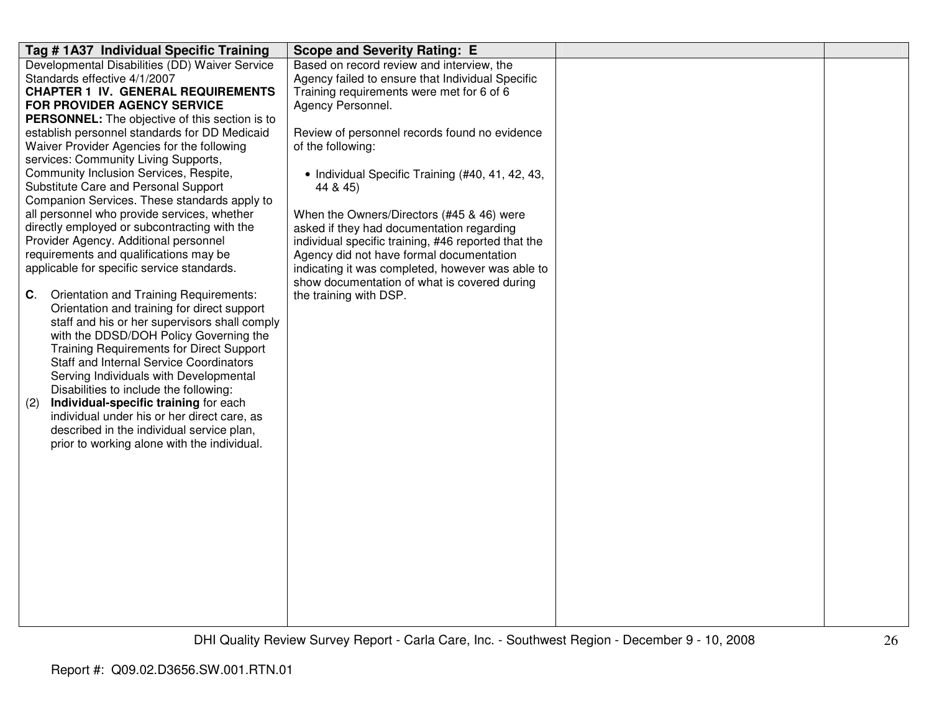| Tag # 1A37 Individual Specific Training                                                   | <b>Scope and Severity Rating: E</b>                 |  |
|-------------------------------------------------------------------------------------------|-----------------------------------------------------|--|
| Developmental Disabilities (DD) Waiver Service                                            | Based on record review and interview, the           |  |
| Standards effective 4/1/2007                                                              | Agency failed to ensure that Individual Specific    |  |
| <b>CHAPTER 1 IV. GENERAL REQUIREMENTS</b>                                                 | Training requirements were met for 6 of 6           |  |
| FOR PROVIDER AGENCY SERVICE                                                               | Agency Personnel.                                   |  |
| <b>PERSONNEL:</b> The objective of this section is to                                     |                                                     |  |
| establish personnel standards for DD Medicaid                                             | Review of personnel records found no evidence       |  |
| Waiver Provider Agencies for the following<br>services: Community Living Supports,        | of the following:                                   |  |
| Community Inclusion Services, Respite,                                                    | • Individual Specific Training (#40, 41, 42, 43,    |  |
| Substitute Care and Personal Support                                                      | 44 & 45)                                            |  |
| Companion Services. These standards apply to                                              |                                                     |  |
| all personnel who provide services, whether                                               | When the Owners/Directors (#45 & 46) were           |  |
| directly employed or subcontracting with the                                              | asked if they had documentation regarding           |  |
| Provider Agency. Additional personnel                                                     | individual specific training, #46 reported that the |  |
| requirements and qualifications may be                                                    | Agency did not have formal documentation            |  |
| applicable for specific service standards.                                                | indicating it was completed, however was able to    |  |
|                                                                                           | show documentation of what is covered during        |  |
| Orientation and Training Requirements:<br>$\mathbf{C}$ .                                  | the training with DSP.                              |  |
| Orientation and training for direct support                                               |                                                     |  |
| staff and his or her supervisors shall comply                                             |                                                     |  |
| with the DDSD/DOH Policy Governing the<br><b>Training Requirements for Direct Support</b> |                                                     |  |
| Staff and Internal Service Coordinators                                                   |                                                     |  |
| Serving Individuals with Developmental                                                    |                                                     |  |
| Disabilities to include the following:                                                    |                                                     |  |
| Individual-specific training for each<br>(2)                                              |                                                     |  |
| individual under his or her direct care, as                                               |                                                     |  |
| described in the individual service plan,                                                 |                                                     |  |
| prior to working alone with the individual.                                               |                                                     |  |
|                                                                                           |                                                     |  |
|                                                                                           |                                                     |  |
|                                                                                           |                                                     |  |
|                                                                                           |                                                     |  |
|                                                                                           |                                                     |  |
|                                                                                           |                                                     |  |
|                                                                                           |                                                     |  |
|                                                                                           |                                                     |  |
|                                                                                           |                                                     |  |
|                                                                                           |                                                     |  |
|                                                                                           |                                                     |  |
|                                                                                           |                                                     |  |
|                                                                                           |                                                     |  |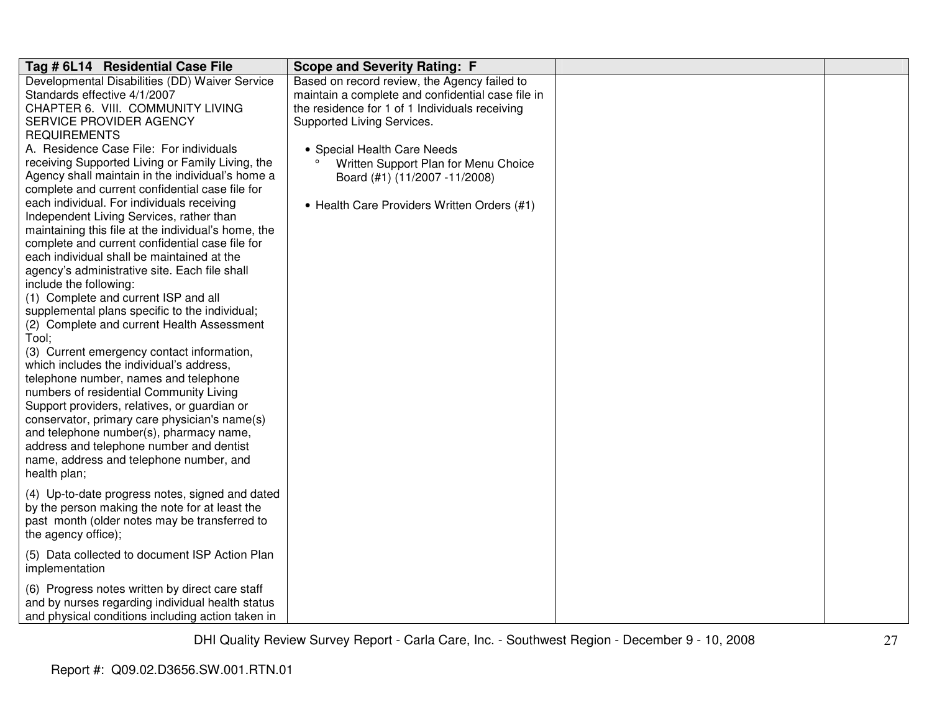| Tag # 6L14 Residential Case File                                                       | <b>Scope and Severity Rating: F</b>               |  |
|----------------------------------------------------------------------------------------|---------------------------------------------------|--|
| Developmental Disabilities (DD) Waiver Service                                         | Based on record review, the Agency failed to      |  |
| Standards effective 4/1/2007                                                           | maintain a complete and confidential case file in |  |
| CHAPTER 6. VIII. COMMUNITY LIVING                                                      | the residence for 1 of 1 Individuals receiving    |  |
| SERVICE PROVIDER AGENCY                                                                | Supported Living Services.                        |  |
| <b>REQUIREMENTS</b>                                                                    |                                                   |  |
| A. Residence Case File: For individuals                                                | • Special Health Care Needs                       |  |
| receiving Supported Living or Family Living, the                                       | Written Support Plan for Menu Choice              |  |
| Agency shall maintain in the individual's home a                                       | Board (#1) (11/2007 -11/2008)                     |  |
| complete and current confidential case file for                                        |                                                   |  |
| each individual. For individuals receiving                                             | • Health Care Providers Written Orders (#1)       |  |
| Independent Living Services, rather than                                               |                                                   |  |
| maintaining this file at the individual's home, the                                    |                                                   |  |
| complete and current confidential case file for                                        |                                                   |  |
| each individual shall be maintained at the                                             |                                                   |  |
| agency's administrative site. Each file shall                                          |                                                   |  |
| include the following:                                                                 |                                                   |  |
| (1) Complete and current ISP and all                                                   |                                                   |  |
| supplemental plans specific to the individual;                                         |                                                   |  |
| (2) Complete and current Health Assessment                                             |                                                   |  |
| Tool;                                                                                  |                                                   |  |
| (3) Current emergency contact information,<br>which includes the individual's address, |                                                   |  |
| telephone number, names and telephone                                                  |                                                   |  |
| numbers of residential Community Living                                                |                                                   |  |
| Support providers, relatives, or guardian or                                           |                                                   |  |
| conservator, primary care physician's name(s)                                          |                                                   |  |
| and telephone number(s), pharmacy name,                                                |                                                   |  |
| address and telephone number and dentist                                               |                                                   |  |
| name, address and telephone number, and                                                |                                                   |  |
| health plan;                                                                           |                                                   |  |
|                                                                                        |                                                   |  |
| (4) Up-to-date progress notes, signed and dated                                        |                                                   |  |
| by the person making the note for at least the                                         |                                                   |  |
| past month (older notes may be transferred to                                          |                                                   |  |
| the agency office);                                                                    |                                                   |  |
| (5) Data collected to document ISP Action Plan                                         |                                                   |  |
| implementation                                                                         |                                                   |  |
| (6) Progress notes written by direct care staff                                        |                                                   |  |
| and by nurses regarding individual health status                                       |                                                   |  |
| and physical conditions including action taken in                                      |                                                   |  |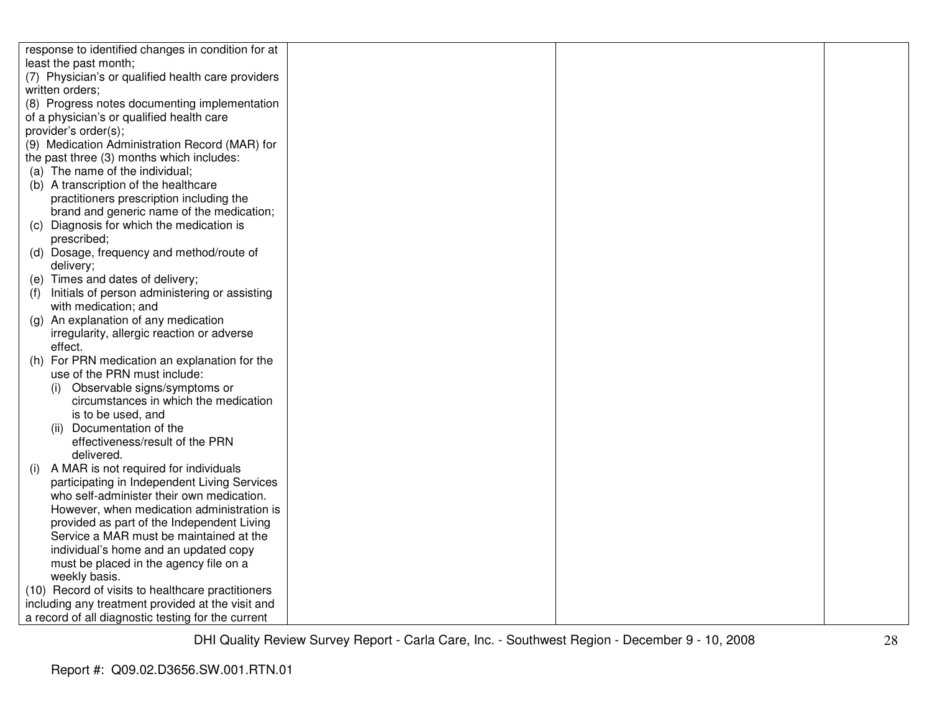| response to identified changes in condition for at |  |  |
|----------------------------------------------------|--|--|
| least the past month;                              |  |  |
| (7) Physician's or qualified health care providers |  |  |
| written orders:                                    |  |  |
| (8) Progress notes documenting implementation      |  |  |
| of a physician's or qualified health care          |  |  |
| provider's order(s);                               |  |  |
| (9) Medication Administration Record (MAR) for     |  |  |
| the past three (3) months which includes:          |  |  |
| (a) The name of the individual;                    |  |  |
| (b) A transcription of the healthcare              |  |  |
| practitioners prescription including the           |  |  |
| brand and generic name of the medication;          |  |  |
| (c) Diagnosis for which the medication is          |  |  |
| prescribed;                                        |  |  |
| (d) Dosage, frequency and method/route of          |  |  |
| delivery;                                          |  |  |
| (e) Times and dates of delivery;                   |  |  |
| Initials of person administering or assisting      |  |  |
| with medication; and                               |  |  |
| (g) An explanation of any medication               |  |  |
| irregularity, allergic reaction or adverse         |  |  |
| effect.                                            |  |  |
| (h) For PRN medication an explanation for the      |  |  |
| use of the PRN must include:                       |  |  |
| Observable signs/symptoms or<br>(i)                |  |  |
| circumstances in which the medication              |  |  |
| is to be used, and                                 |  |  |
| (ii) Documentation of the                          |  |  |
| effectiveness/result of the PRN                    |  |  |
| delivered.                                         |  |  |
| A MAR is not required for individuals<br>(i)       |  |  |
| participating in Independent Living Services       |  |  |
| who self-administer their own medication.          |  |  |
| However, when medication administration is         |  |  |
| provided as part of the Independent Living         |  |  |
| Service a MAR must be maintained at the            |  |  |
| individual's home and an updated copy              |  |  |
| must be placed in the agency file on a             |  |  |
| weekly basis.                                      |  |  |
| (10) Record of visits to healthcare practitioners  |  |  |
| including any treatment provided at the visit and  |  |  |
| a record of all diagnostic testing for the current |  |  |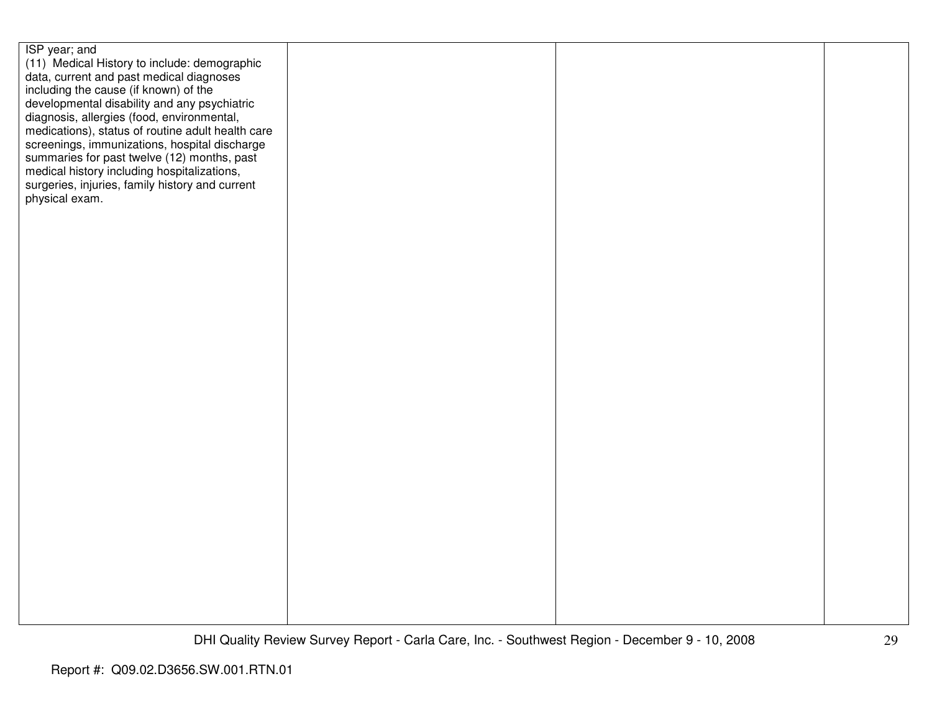| ISP year; and<br>(11) Medical History to include: demographic<br>data, current and past medical diagnoses<br>including the cause (if known) of the<br>developmental disability and any psychiatric<br>diagnosis, allergies (food, environmental,<br>medications), status of routine adult health care<br>screenings, immunizations, hospital discharge<br>summaries for past twelve (12) months, past<br>medical history including hospitalizations,<br>surgeries, injuries, family history and current<br>physical exam. |  |  |
|---------------------------------------------------------------------------------------------------------------------------------------------------------------------------------------------------------------------------------------------------------------------------------------------------------------------------------------------------------------------------------------------------------------------------------------------------------------------------------------------------------------------------|--|--|
|                                                                                                                                                                                                                                                                                                                                                                                                                                                                                                                           |  |  |
|                                                                                                                                                                                                                                                                                                                                                                                                                                                                                                                           |  |  |
|                                                                                                                                                                                                                                                                                                                                                                                                                                                                                                                           |  |  |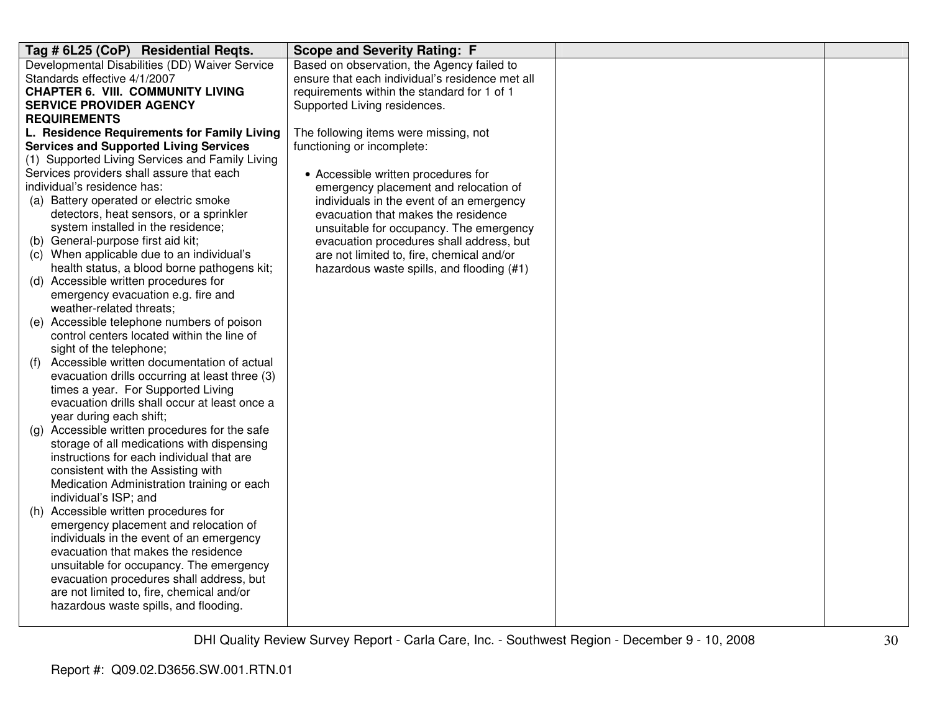| Tag # 6L25 (CoP) Residential Reqts.                                   | <b>Scope and Severity Rating: F</b>             |  |
|-----------------------------------------------------------------------|-------------------------------------------------|--|
| Developmental Disabilities (DD) Waiver Service                        | Based on observation, the Agency failed to      |  |
| Standards effective 4/1/2007                                          | ensure that each individual's residence met all |  |
| <b>CHAPTER 6. VIII. COMMUNITY LIVING</b>                              | requirements within the standard for 1 of 1     |  |
| <b>SERVICE PROVIDER AGENCY</b>                                        | Supported Living residences.                    |  |
| <b>REQUIREMENTS</b>                                                   |                                                 |  |
| L. Residence Requirements for Family Living                           | The following items were missing, not           |  |
| <b>Services and Supported Living Services</b>                         | functioning or incomplete:                      |  |
| (1) Supported Living Services and Family Living                       |                                                 |  |
| Services providers shall assure that each                             | • Accessible written procedures for             |  |
| individual's residence has:                                           | emergency placement and relocation of           |  |
| (a) Battery operated or electric smoke                                | individuals in the event of an emergency        |  |
| detectors, heat sensors, or a sprinkler                               | evacuation that makes the residence             |  |
| system installed in the residence;                                    | unsuitable for occupancy. The emergency         |  |
| (b) General-purpose first aid kit;                                    | evacuation procedures shall address, but        |  |
| (c) When applicable due to an individual's                            | are not limited to, fire, chemical and/or       |  |
| health status, a blood borne pathogens kit;                           | hazardous waste spills, and flooding (#1)       |  |
| (d) Accessible written procedures for                                 |                                                 |  |
| emergency evacuation e.g. fire and                                    |                                                 |  |
| weather-related threats;                                              |                                                 |  |
| (e) Accessible telephone numbers of poison                            |                                                 |  |
| control centers located within the line of                            |                                                 |  |
| sight of the telephone;<br>Accessible written documentation of actual |                                                 |  |
| (f)<br>evacuation drills occurring at least three (3)                 |                                                 |  |
| times a year. For Supported Living                                    |                                                 |  |
| evacuation drills shall occur at least once a                         |                                                 |  |
| year during each shift;                                               |                                                 |  |
| (g) Accessible written procedures for the safe                        |                                                 |  |
| storage of all medications with dispensing                            |                                                 |  |
| instructions for each individual that are                             |                                                 |  |
| consistent with the Assisting with                                    |                                                 |  |
| Medication Administration training or each                            |                                                 |  |
| individual's ISP; and                                                 |                                                 |  |
| Accessible written procedures for<br>(h)                              |                                                 |  |
| emergency placement and relocation of                                 |                                                 |  |
| individuals in the event of an emergency                              |                                                 |  |
| evacuation that makes the residence                                   |                                                 |  |
| unsuitable for occupancy. The emergency                               |                                                 |  |
| evacuation procedures shall address, but                              |                                                 |  |
| are not limited to, fire, chemical and/or                             |                                                 |  |
| hazardous waste spills, and flooding.                                 |                                                 |  |
|                                                                       |                                                 |  |